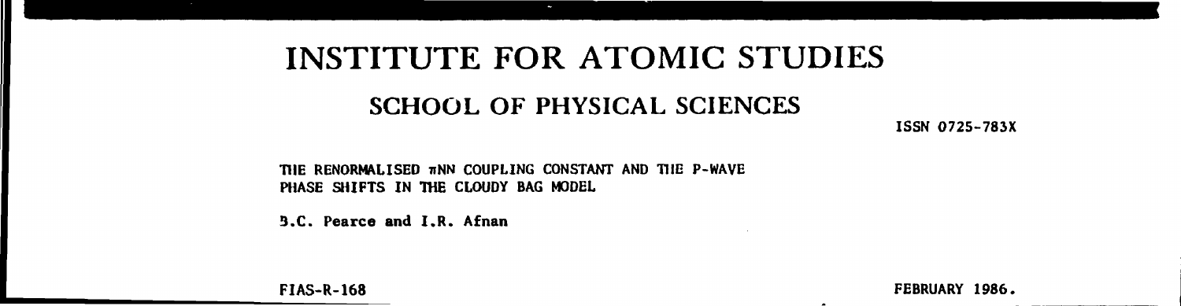# **INSTITUTE FOR ATOMIC STUDIES**

## **SCHOOL OF PHYSICAL SCIENCES**

**ISSN 0725-783X** 

THE RENORMALISED TINN COUPLING CONSTANT AND THE P-WAVE **PHASE SHIFTS IN THE CLOUDY BAG MODEL** 

**3.C. Pearce and I.R. Afnan** 

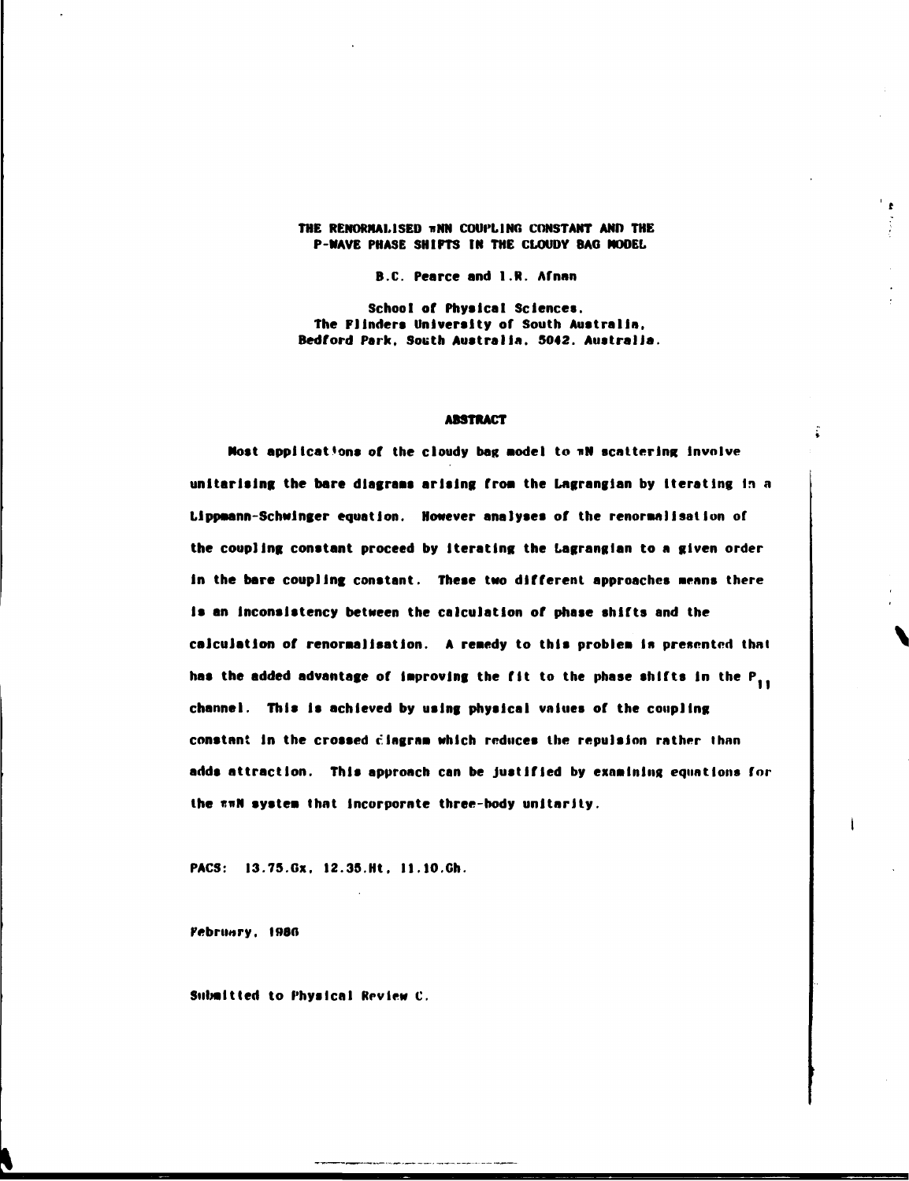## **THE RENORMALISED nNN COUPLING CONSTANT AND THE P-NAVE PHASE SHIFTS IN THE CLOUDY BAO MODEL**

 $\mathbf{r}$ 

**B.C. Pearce and 1.R. Afnan** 

**School of Physical Sciences. The Flinders University of South Australia, Bedford Park, South Australia. 5042. Australia.** 

## **ABSTRACT**

**Most applications of the cloudy bag aodel to nN scattering involve**  unitarising the bare diagrams arising from the Lagrangian by iterating in a **Llppmnn-Schwlnger equation. However analyses of the renoraallsatlon of the coupling constant proceed by Iterating the Lagranglan to a given order In the bare coupling constant. These two different approaches neans there Is an Inconsistency between the calculation of phase shifts and the calculation of renoraallsatlon. A renedy to this problea in presented that**  has the added advantage of improving the fit to the phase shifts in the P<sub>11</sub> **channel. This Is achieved by using physical values of the coupling constant In the crossed clngrna which reduces the repulsion rather than adds attraction. This approach can be Justified by examining equations for**  the  $\pi\pi N$  system that incorporate three-body unitarity.

**PACS: [I3.75.0x.](http://I3.75.0x) 12.35.Ht. [ll.10.Ch.](http://ll.10.Ch)** 

**February, I»80** 

**Submitted to Physical Review C.**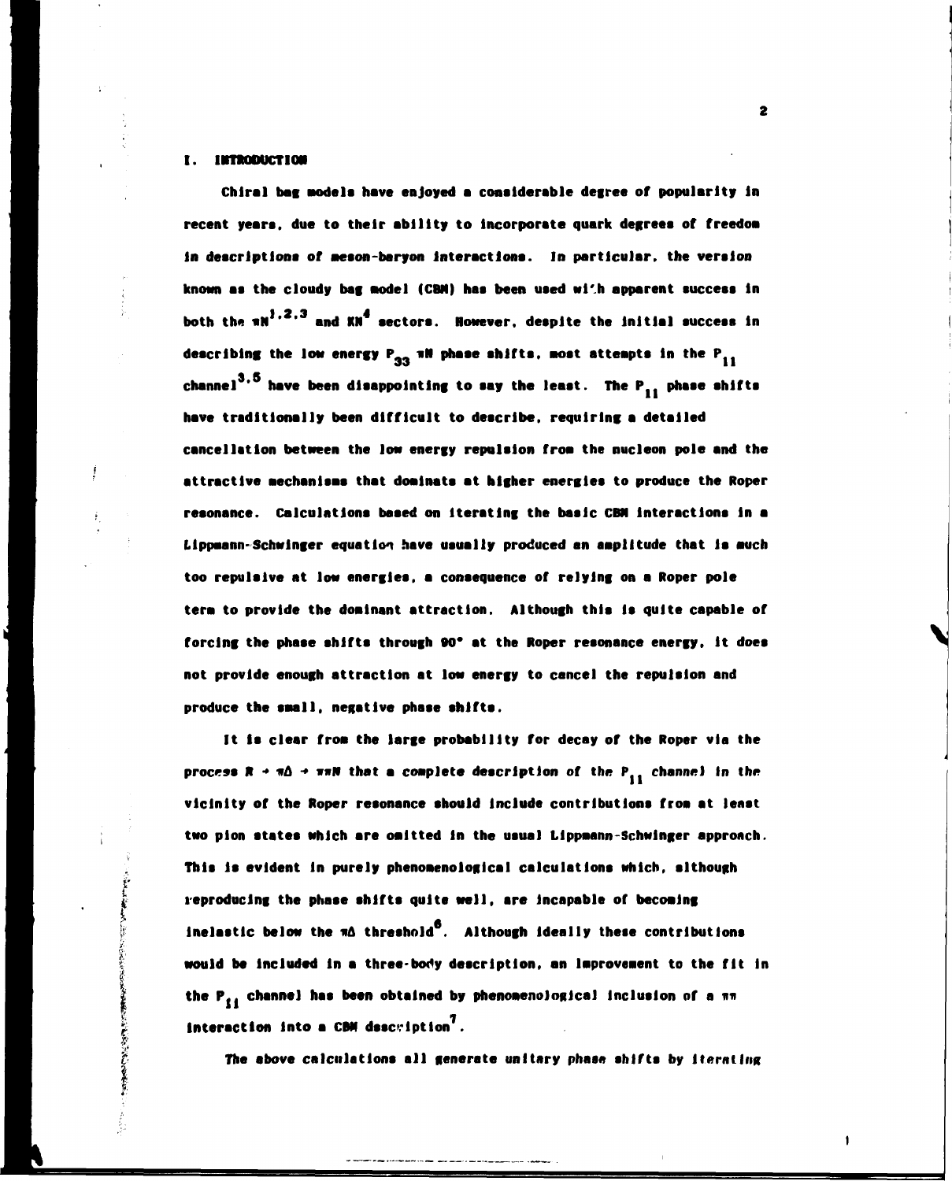## **I. INTRODUCTION**

このとものに、「このことのことのです」

**Chlral bag Models have enjoyed a considerable degree of popularity In recent years, due to their ability to incorporate quark degrees of freedoa in descriptions of aeson-baryon Interactions. In particular, the version known as the cloudy bag aodel (CBN) has been used wl'.h apparent success In**  both the **\*N**<sup>1,2,3</sup> and **KN<sup>4</sup>** sectors. However, despite the initial success in describing the low energy  $P_{22}$  will phase shifts, most attempts in the  $P_{11}$ channel<sup>3,5</sup> have been disappointing to say the least. The P<sub>11</sub> phase shifts **have traditionally been difficult to describe, requiring a detailed cancellation between the low energy repulsion froa the nucleon pole and the attractive aechanlsas that doainate at higher energies to produce the Roper resonance. Calculations based on Iterating the basic CBN interactions in a Llppaann-Schwinger equation have usually produced an aaplltude that is auch too repulsive at low energies, a consequence of relying on a Roper pole tern to provide the donlnant attraction. Although this Is quite capable of forcing the phase shifts through 90" at the Roper resonance energy. It does not provide enough attraction at low energy to cancel the repulsion and produce the snail, negative phase shifts.** 

**It la clear froa the large probability for decay of the Roper via the process R +**  $\pi\Delta$  **+**  $\pi\pi\mathbb{N}$  **that a complete description of the P<sub>11</sub> channel in the vicinity of the Roper resonance should Include contributions froa at least two plon states which are oaltted in the usual Llppaann-Schwlnger approach. This Is evident in purely phenoaenologlcal calculations which, although reproducing the phase shifts quite well, are Incapable of becoalng**  inelastic below the  $n\Delta$  threshold<sup>6</sup>. Although ideally these contributions **would be included In a three-body description, an laproveaent to the fit In the Pj, channel has been obtained by phenoaenological Inclusion of a nn 7 Interaction Into a CBN description .** 

**The above calculations all generste unitary phase shifts by Iterating**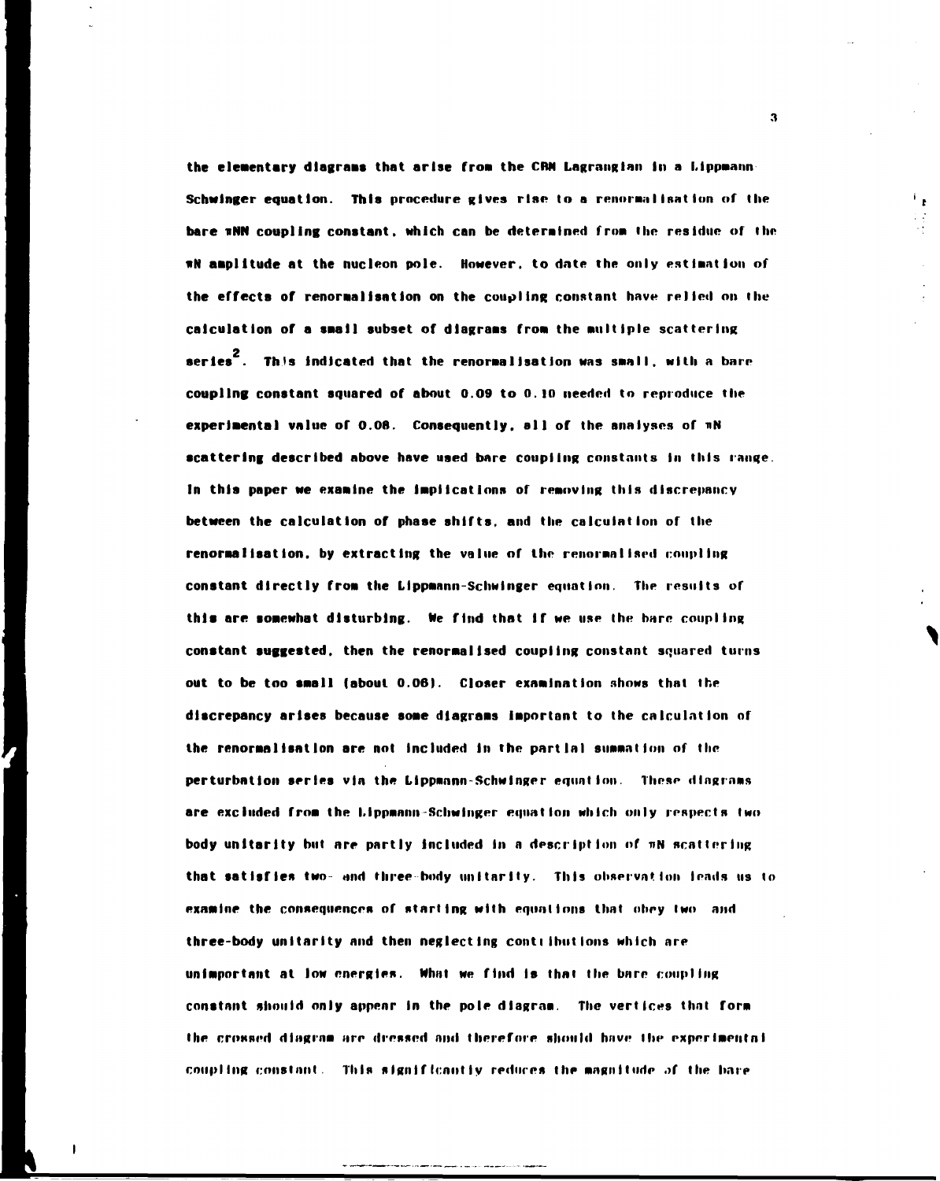the elementary diagrams that arise from the CRM Lagrangian in a Lippmann **the elements** Schwinger equation. This procedure gives rise to a renormalisation of the bare wNN coupling constant, which can be determined from the residue of the **sN amplitude at the nucleon pole. However, to date the only estimation of the effects of renoraalIsatIon on the coupling constant have relied on the calculation of a snail subset of dlagraas from the Multiple scattering 2 series . This Indicated that the renoraalisatIon was small, with a bare coupling constant squared of about 0.09 to 0.10 needed to reproduce the experiaental value of 0.08. Consequently, all of the analyses of nN scattering described above have uaed bare coupling constants In this range. In this paper we examine the Implications of removing this discrepancy between the calculation of phase shifts, and the calculation of the renormalisation.** by extracting the value of the renormalised coupling **constant directly froa the Lippannn-Schwinger equation. The results of this are sonewhat disturbing. Me find that If we use the hare coupling constant suggested, then the renoraallsed coupling constant squared turns out to be too snail (about 0.06). Closer examination shows that the discrepancy arises because soae dlagraas Important to the calculation of the renoraalIsatIon are not included in the partial summation of the perturbation series via the Lippmann-Schwinger equation. These diagrams are excluded frna the l.lppannu-Schwinger equation which only respects two body unitarity but are partly included in a description of TIN scattering**  that satisfies two- and three-body unitarity. This observation leads us to **examine the consequences of starting with equations that ohry two and three-body unitarity and then neglecting contt IhutIons which are unimportant at low energies. Mhat we find is that the bare coupling constant should only appear in the pole diagram. The vertices that fora the crossed diagram are dressed mid therefore should have Hie exprrimeutnl coupling constant. This significantly reduces the magnitude of the hare** 

**3** 

۰,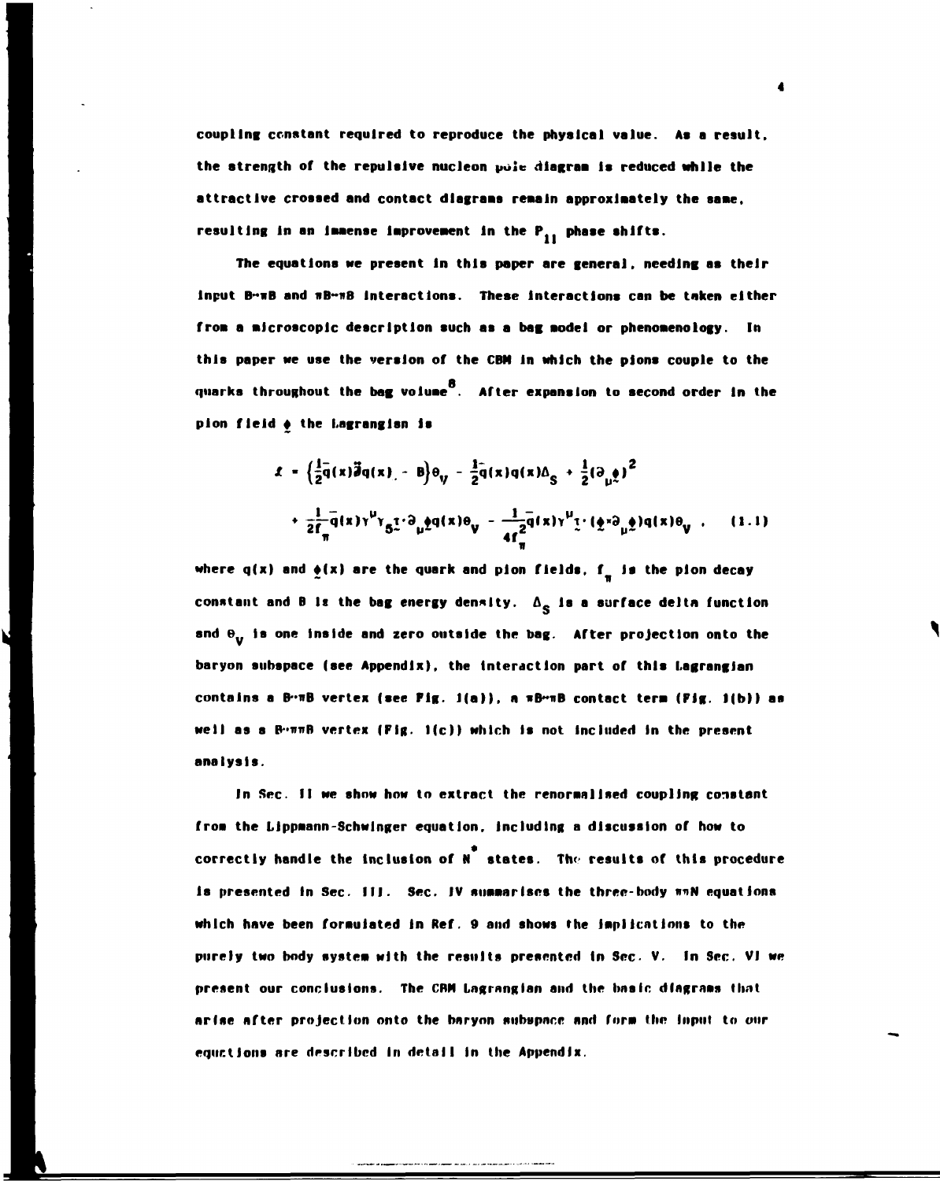**coupling constant required to reproduce the physical value. As a result, the strength of the repulsive nucleon** *polv* **dlagraa Is reduced while the attractive crossed and contact diagrams reaaln approximately the saae,**  resulting in an immense improvement in the P<sub>11</sub> phase shifts.

**The equations we present In this paper are general, needing as their Input B~wB and nB~nB Interactions. These Interactions can be taken either**  from a microscopic description such as a bag model or phenomenology. In **this paper we use the version of the CBN In which the plons couple to the quarks throughout the bag voluae . After expansion to second order In the plon field + the Lagranglan is** 

$$
\mathbf{L} = \left\{ \frac{1}{2} \overline{q}(x) \overline{\mathbf{J}} q(x) - \mathbf{B} \right\} \theta_{\mathbf{V}} - \frac{1}{2} \overline{q}(x) q(x) \Delta_{\mathbf{S}} + \frac{1}{2} (\partial_{\mathbf{U}} \underline{\phi})^2
$$
  
+ 
$$
\frac{1}{2} \overline{f}_{\mathbf{W}} \overline{q}(x) \gamma^{\mathbf{V}} \gamma_{\mathbf{S}} \underline{\psi} \partial_{\mathbf{U}} \underline{\phi} q(x) \theta_{\mathbf{V}} - \frac{1}{4} \overline{f}_{\mathbf{S}} \overline{q}(x) \gamma^{\mathbf{U}} \underline{\psi} \cdot (\underline{\phi} x) \partial_{\mathbf{U}} \underline{\phi} q(x) \theta_{\mathbf{V}} \tag{1.1}
$$

ir

where  $q(x)$  and  $\phi(x)$  are the quark and pion fields,  $f_{\pi}$  is the pion decay  $\mathcal{L}^{\mathcal{L}}(\mathcal{L}^{\mathcal{L}})$  . The contract of the contract of the contract of the contract of the contract of the contract of the contract of the contract of the contract of the contract of the contract of the contract constant and B is the bag energy density.  $\Delta_{\bf S}$  is a surface delta function and  $\theta_{\bf u}$  is one inside and zero outside the bag. After projection onto the **baryon subspace (see Appendix), the Interaction part of this Lagranglan contains a B-nB vertex (see Fig. 1(a)), a \*B~nB contact tera (Fig. 1(b)) as well as a B-nuB vertex (Fig. 1(c)) which Is not Included In the present analysis.** 

**In Sec. II we show how to extract the renoraallsed coupling constant froa the Lippaann-Schwlnger equation. Including a discussion of how to**  correctly handle the inclusion of N<sup>7</sup> states. The results of this procedure **Is presented in Sec. III. Sec. IV summarises the three-body**  $\pi nN$  **equations which have been formulated In Ref. 9 and shows the lapllent ions to the purely two body systea with the results presented In Sec- V. In Sec. VI we**  present our conclusions. The CBM Lagrangian and the basic diagrams that **arise after projection onto the bnryon subspnee and fora the Input to our equations are described In detail In (he Appendix.**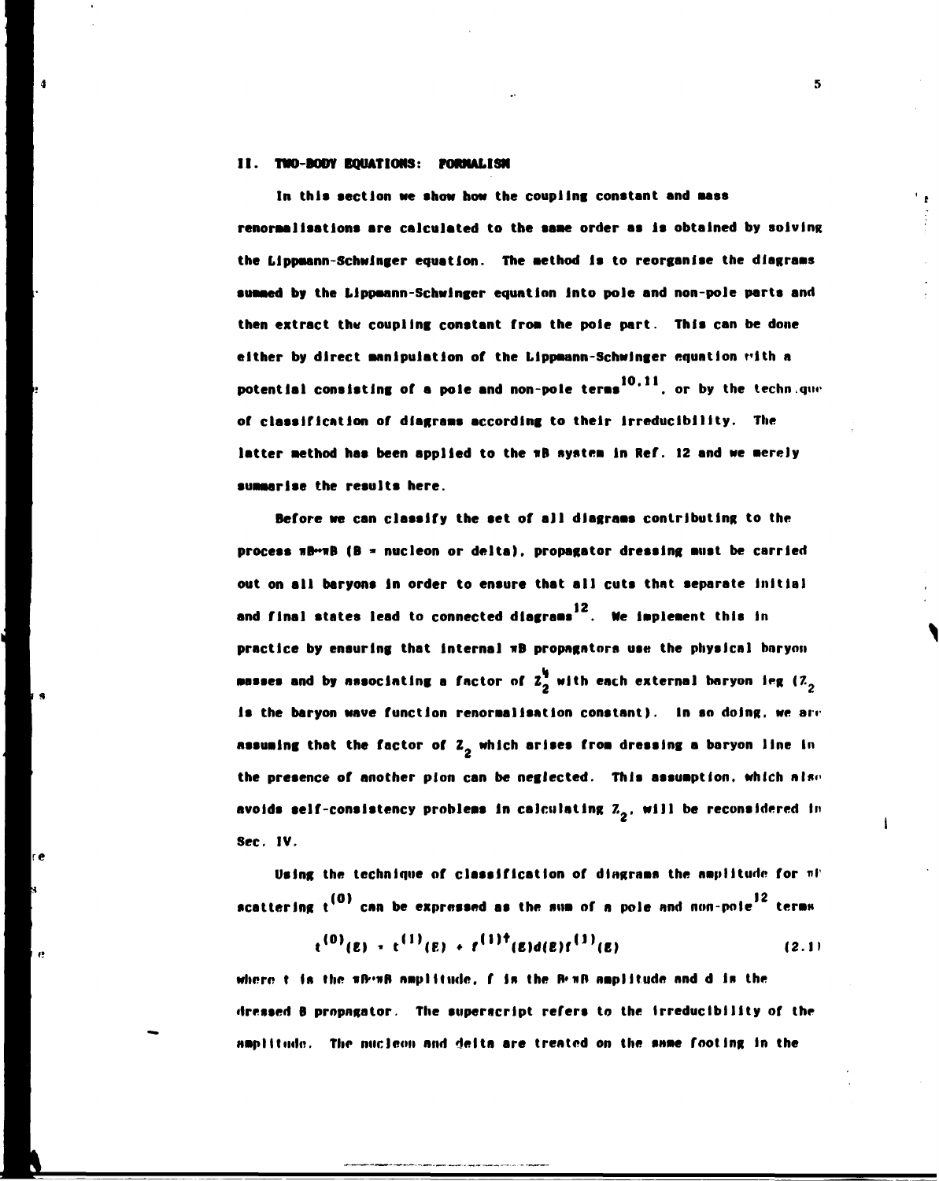## **II. TWO-BODY BOUATIONS: FORMALISM**

In this section we show how the coupling constant and mass **renoraallsatlons are calculated to the saae order as Is obtained by solving**  the Lippmann-Schwinger equation. The method is to reorganise the diagrams **summed by the Llppaann-Schwlnger equation Into pole and non-pole parte and then extract thw coupling constant froa the pole part. Thla can be done either by direct manipulation of the Llppaann-Schwlnger equation t'lth a potential consisting of a pole and non-pole terms<sup>10,11</sup>, or by the technique of classification of dlagraas according to their Irreduclblllty. The latter aethod has been applied to the »B systea In Ref. 12 and we nerely suaaarlse the results here.** 

5

**Before we can classify the set of all dlagraas contributing to the process \*B~iB (B » nucleon or delta), propagator dressing aust be carried out on all baryons In order to ensure that all cuts that separate Initial**  and final states lead to connected diagrams<sup>12</sup>. We implement this in **practice by ensuring that Internal nB propagators use the physical bnrynn •asses and by associating a factor of** *1* **with each external baryon leg (7 Is the baryon wave function renormalisation constant). In so doing, we are assuming that the factor of Z<sub>2</sub> which arises from dressing a baryon line in** the presence of another pion can be neglected. This assumption, which also **avoids self-consistency problems in calculating Z<sub>2</sub>, will be reconsidered in Sec. IV.** 

Using the technique of classification of dingrams the amplitude for  $n!$ **scattering t<sup>(0)</sup> can be expressed as the sum of a pole and non-pole<sup>12</sup> terms** 

$$
t^{(0)}(E) + t^{(1)}(E) + t^{(1)\dagger}(E)d(E)t^{(1)}(E)
$$
 (2.1)

where t is the **HB-BB** amplitude, f is the B-HB amplitude and d is the **dressed B propagator. The superscript refers to the Irreduclblllty of the amplitude. The nucleoli and delta are treated on the same fooling In the**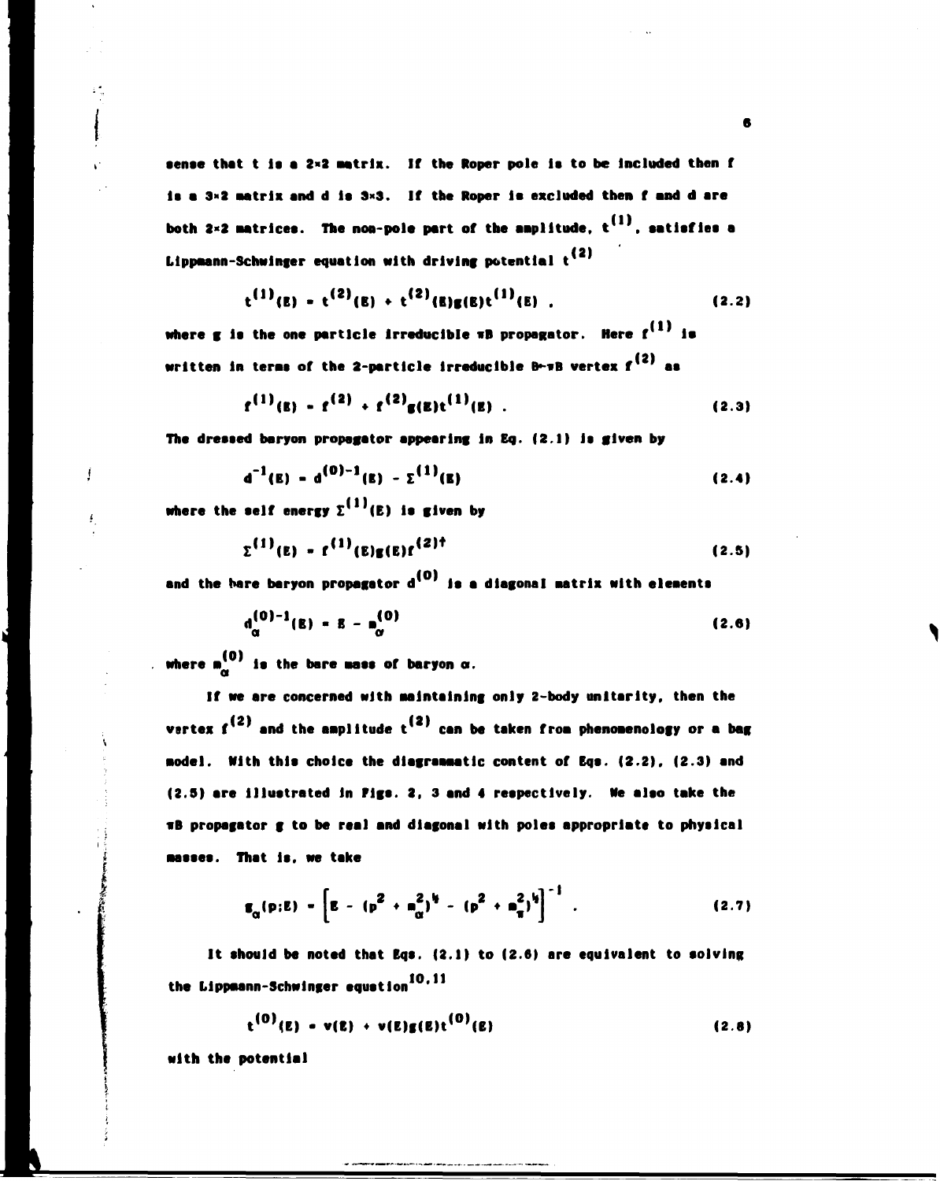sense that t is a 2x2 matrix. If the Roper pole is to be included then f **Is a 3\*2 aatrlx and d la 3\*3. If the Roper la excluded then f and d are**  both  $2 \times 2$  matrices. The non-pole part of the amplitude,  $t^{(1)}$ , satisfies a **(2) Llppaann-Schwlnger equation with driving potential t** 

$$
t^{(1)}(E) - t^{(2)}(E) + t^{(2)}(E)g(E)t^{(1)}(E) .
$$
 (2.2)

where g is the one particle irreducible wB propagator. Here f<sup>(1)</sup> is written in terms of the 2-particle irreducible B $\sim$ **nB** vertex  $f^{(2)}$  as

$$
f^{(1)}(E) - f^{(2)} + f^{(2)}g(E)t^{(1)}(E) .
$$
 (2.3)

**The dressed baryon propagator appearing In Eq. (2.1) Is given by** 

$$
d^{-1}(E) = d^{(0)-1}(E) - \Sigma^{(1)}(E)
$$
 (2.4)

where the self energy  $\Sigma^{(1)}(E)$  is given by

ţ

$$
\Sigma^{(1)}(E) = f^{(1)}(E)g(E)f^{(2)^\dagger} \tag{2.5}
$$

and the bare baryon propagator d<sup>(0)</sup> is a diagonal matrix with elements

$$
d_{\alpha}^{(0)-1}(E) = E - n_{\alpha}^{(0)}
$$
 (2.6)

where  $\mathbf{a}_{\alpha}^{\{0\}}$  is the bare mass of baryon  $\alpha$ .

If we are concerned with maintaining only 2-body unitarity, then the vertex  $f^{(2)}$  and the amplitude  $t^{(2)}$  can be taken from phenomenology or a bag sodel. With this choice the diagramsatic content of Egs. (2.2). (2.3) and **•odel. With this choice the dlagraaaatlc content of Eqs. (2.2), (2.3) and TB** propagator g to be real and diagonal with poles appropriate to physical **nasses.** That is, we take

$$
\mathbf{g}_{\alpha}(\mathbf{p}; \mathbf{E}) = \left[ \mathbf{E} - (\mathbf{p}^2 + \mathbf{n}_{\alpha}^2)^{\mathbf{i}_{\mathbf{j}}} - (\mathbf{p}^2 + \mathbf{n}_{\mathbf{T}}^2)^{\mathbf{i}_{\mathbf{j}}} \right]^{-1} .
$$
 (2.7)

**It should be noted that Bqs. (2.1) to (2.6) are equivalent to solving the Llppaann-Schwlnger equation** 

$$
t^{(0)}(E) - v(E) + v(E)g(E)t^{(0)}(E)
$$
 (2.8)

**with the potential**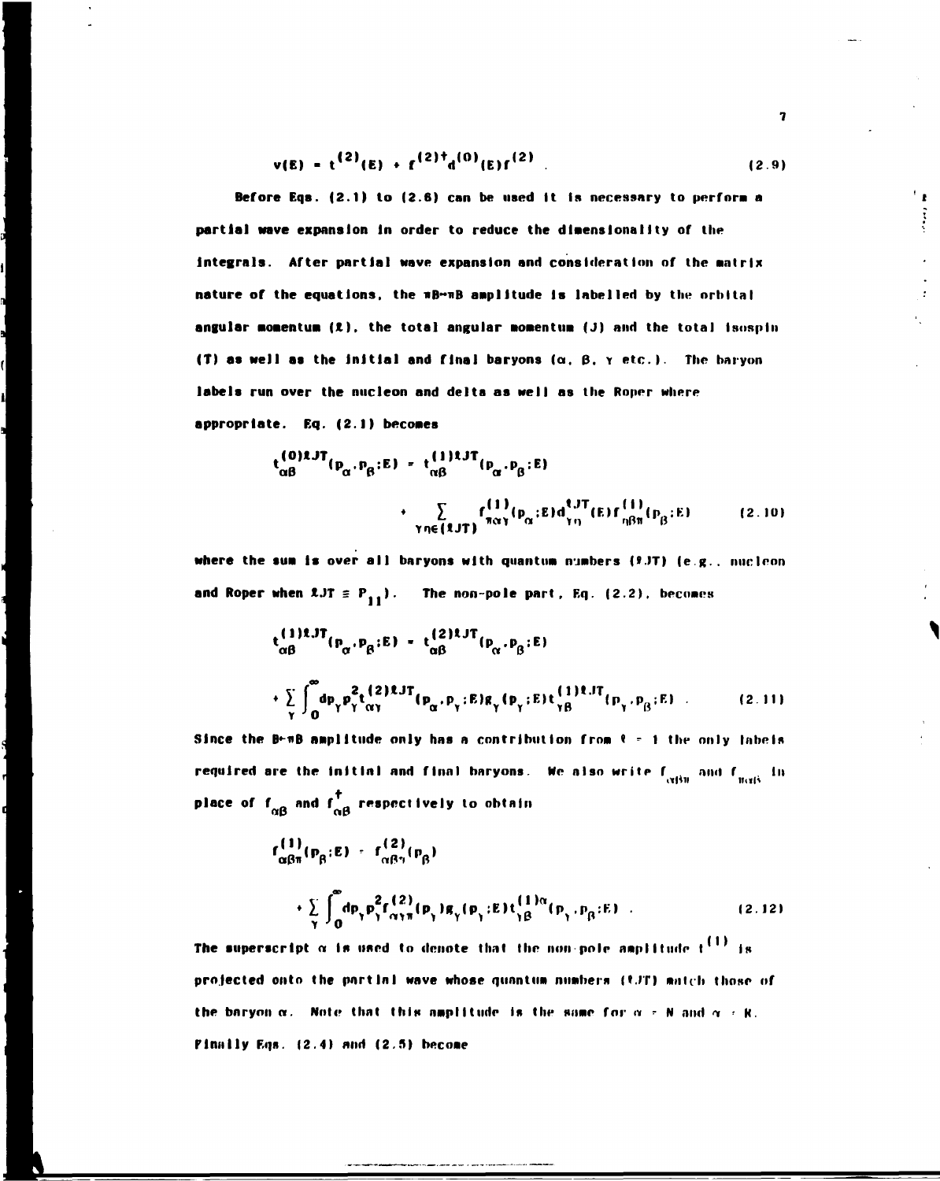$$
v(E) = t^{(2)}(E) + f^{(2)\dagger}d^{(0)}(E)f^{(2)}
$$
 (2.9)

Before Eqs. (2.1) to (2.6) can be used it is necessary to perform a partial wave expansion in order to reduce the dimensionality of the integrals. After partial wave expansion and consideration of the matrix nature of the equations, the mB-mB amplitude is labelled by the orbital angular momentum  $(2)$ , the total angular momentum  $(J)$  and the total isospin (T) as well as the initial and final baryons ( $\alpha$ ,  $\beta$ ,  $\gamma$  etc.). The baryon labels run over the nucleon and delta as well as the Roper where appropriate. Eq. (2.1) becomes

$$
t_{\alpha\beta}^{(0)2JT}(p_{\alpha},p_{\beta};E) = t_{\alpha\beta}^{(1)1JT}(p_{\alpha},p_{\beta};E)
$$
  
 
$$
+ \sum_{\gamma n \in (2JT)} t_{\alpha\gamma}^{(1)}(p_{\alpha};E) d_{\gamma n}^{(JT)}(E) f_{\eta\beta\pi}^{(1)}(p_{\beta};E)
$$
(2.10)

where the sum is over all baryons with quantum numbers  $(2.3T)$  (e.g., nucleon and Roper when  $2JT \equiv P_{11}$ . The non-pole part, Eq. (2.2), becomes

$$
t_{\alpha\beta}^{(1)1,JT}(p_{\alpha},p_{\beta};E) = t_{\alpha\beta}^{(2)1,JT}(p_{\alpha},p_{\beta};E)
$$
  
+ 
$$
\sum_{\gamma} \int_{0}^{\infty} dp_{\gamma} p_{\gamma}^{2} t_{\alpha\gamma}^{(2)1,JT}(p_{\alpha},p_{\gamma};E)g_{\gamma}(p_{\gamma};E) t_{\gamma\beta}^{(1)1,JT}(p_{\gamma},p_{\beta};E)
$$
 (2.11)

Since the B-mB amplitude only has a contribution from  $\ell = 1$  the only labels required are the initial and final baryons. We also write  $f_{\text{cylm}}$  and  $f_{\text{scyls}}$  in place of  $f_{\alpha\beta}$  and  $f_{\alpha\beta}^{\dagger}$  respectively to obtain

$$
f_{\alpha\beta\pi}^{(1)}(p_{\beta};E) = f_{\alpha\beta\gamma}^{(2)}(p_{\beta})
$$
  
+ 
$$
\sum_{\gamma} \int_{0}^{\infty} dp_{\gamma} p_{\gamma}^{2} f_{\alpha\gamma\pi}^{(2)}(p_{\gamma}) g_{\gamma}(p_{\gamma};E) t_{\gamma\beta}^{(1)\alpha}(p_{\gamma},p_{\beta};E)
$$
 (2.12)

The superscript  $\alpha$  is used to denote that the non-pole amplitude  $t^{\{1\}}$  is projected onto the partial wave whose quantum numbers (CJT) match those of the baryon  $\alpha$ . Note that this amplitude is the same for  $\alpha \neq N$  and  $\alpha \neq R$ . Finally Eqs. (2.4) and (2.5) become

 $\overline{\mathbf{r}}$ 

 $^{\prime}$  :

 $\epsilon_{\perp}$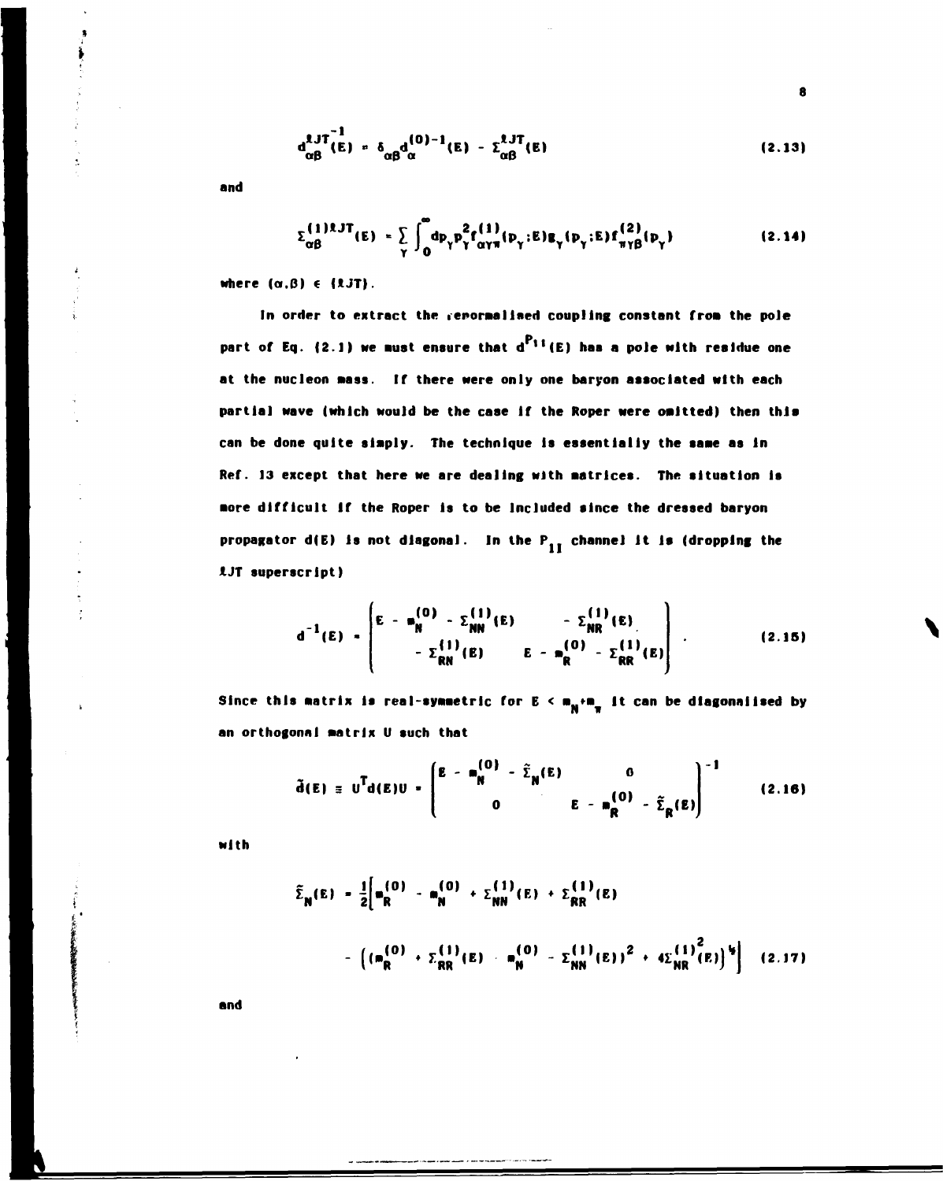$$
d_{\alpha\beta}^{1JT^{-1}}(E) = \delta_{\alpha\beta}d_{\alpha}^{(0)-1}(E) - \Sigma_{\alpha\beta}^{1JT}(E)
$$
 (2.13)

and

$$
\Sigma_{\alpha\beta}^{(1)1J}(\mathbf{E}) = \sum_{\gamma} \int_0^{\infty} d\mathbf{p}_{\gamma} \mathbf{p}_{\gamma}^2 f_{\alpha\gamma\pi}^{(1)}(\mathbf{p}_{\gamma}; \mathbf{E}) \mathbf{g}_{\gamma}(\mathbf{p}_{\gamma}; \mathbf{E}) f_{\pi\gamma\beta}^{(2)}(\mathbf{p}_{\gamma})
$$
(2.14)

where  $(\alpha, \beta) \in \{1,3T\}$ .

In order to extract the repormalised coupling constant from the pole part of Eq. (2.1) we must ensure that  $d^{P_{11}}(E)$  has a pole with residue one at the nucleon mass. If there were only one baryon associated with each partial wave (which would be the case if the Roper were omitted) then this can be done quite simply. The technique is essentially the same as in Ref. 13 except that here we are dealing with matrices. The situation is more difficult if the Roper is to be included since the dressed baryon propagator  $d(E)$  is not diagonal. In the  $P_{1I}$  channel it is (dropping the LJT superscript)

$$
d^{-1}(E) = \begin{bmatrix} E - m_N^{(0)} - \Sigma_{NN}^{(1)}(E) & - \Sigma_{NR}^{(1)}(E) \\ - \Sigma_{RN}^{(1)}(E) & E - m_R^{(0)} - \Sigma_{RR}^{(1)}(E) \end{bmatrix} .
$$
 (2.15)

Since this matrix is real-symmetric for  $E \le m_N + m_{\pi}$  it can be diagonalised by an orthogonal matrix U such that

$$
\tilde{d}(E) = U^{T}d(E)U - \begin{pmatrix} E - m_{N}^{(0)} - \tilde{\Sigma}_{N}(E) & 0 \\ 0 & E - m_{R}^{(0)} - \tilde{\Sigma}_{R}(E) \end{pmatrix}^{-1}
$$
(2.16)

with

$$
\tilde{\Sigma}_{N}(E) = \frac{1}{2} \left[ m_{R}^{(0)} - m_{N}^{(0)} + \Sigma_{NN}^{(1)}(E) + \Sigma_{RR}^{(1)}(E) \right]
$$

$$
- \left( \left( m_{R}^{(0)} + \Sigma_{RR}^{(1)}(E) - m_{N}^{(0)} - \Sigma_{NN}^{(1)}(E) \right)^{2} + 4\Sigma_{NR}^{(1)}(E) \right)^{3} \right] (2.17)
$$

and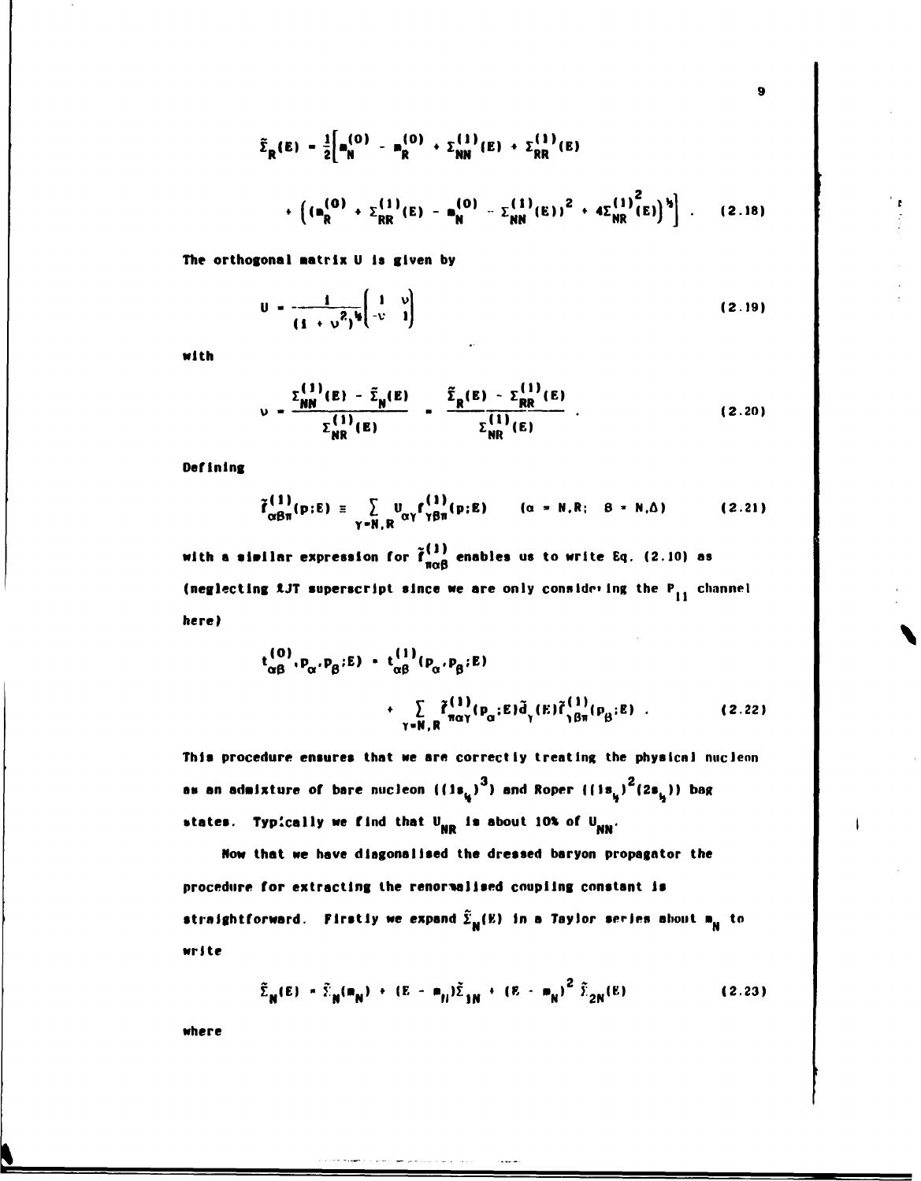$$
\tilde{\Sigma}_{R}(E) = \frac{1}{2} \Big[ m_{N}^{(0)} - m_{R}^{(0)} + \Sigma_{NN}^{(1)}(E) + \Sigma_{RR}^{(1)}(E) + \cdots + \Big( (m_{R}^{(0)} + \Sigma_{RR}^{(1)}(E) - m_{N}^{(0)} - \Sigma_{NN}^{(1)}(E) \Big)^{2} + 4\Sigma_{NR}^{(1)}(E) \Big)^{3} \Big] \ . \tag{2.18}
$$

 $\overline{9}$ 

The orthogonal matrix U is given by

$$
U = \frac{1}{(1 + \nu^2)^{1/2}} \begin{pmatrix} 1 & v \\ -v & 1 \end{pmatrix}
$$
 (2.19)

with

$$
v = \frac{\Sigma_{NN}^{(1)}(E) - \tilde{\Sigma}_N(E)}{\Sigma_{NR}^{(1)}(E)} = \frac{\tilde{\Sigma}_R(E) - \Sigma_{RR}^{(1)}(E)}{\Sigma_{NR}^{(1)}(E)} \tag{2.20}
$$

Defining

$$
\tilde{f}^{(1)}_{\alpha\beta\pi}(p;E) \equiv \sum_{\gamma=N,R} u_{\alpha\gamma} f^{(1)}_{\gamma\beta\pi}(p;E) \qquad (\alpha = N,R; \quad B = N,\Delta) \qquad (2.21)
$$

with a similar expression for  $\tilde{f}^{(1)}_{\pi\alpha\beta}$  enables us to write Eq. (2.10) as (neglecting  $\ell$ JT superscript since we are only considering the  $P_{11}$  channel here)

$$
t_{\alpha\beta}^{(0)}, p_{\alpha}, p_{\beta}; E) = t_{\alpha\beta}^{(1)}(p_{\alpha}, p_{\beta}; E)
$$
  
+ 
$$
\sum_{\gamma \in \mathbb{N}, \mathbb{R}} \tilde{f}_{\substack{n\alpha\gamma}}^{(1)}(p_{\alpha}; E) \tilde{d}_{\gamma}(E) \tilde{f}_{\gamma\beta\pi}^{(1)}(p_{\beta}; E) .
$$
 (2.22)

This procedure ensures that we are correctly treating the physical nucleon as an admixture of bare nucleon  $((1s_{i_j})^3)$  and Roper  $((1s_{i_j})^2(2s_{i_j}))$  bag states. Typically we find that  $U_{NR}$  is about 10% of  $U_{NN}$ .

Now that we have diagonalised the dressed baryon propagator the procedure for extracting the renormalised coupling constant is straightforward. Firstly we expand  $\tilde{\Sigma}_{\bf N}(E)$  in a Taylor series about  $m_{\bf N}$  to write

$$
\tilde{\Sigma}_{N}(E) = \tilde{\Sigma}_{N}(m_{N}) + (E - m_{N})\tilde{\Sigma}_{1N} + (E - m_{N})^{2} \tilde{\Sigma}_{2N}(E)
$$
 (2.23)

where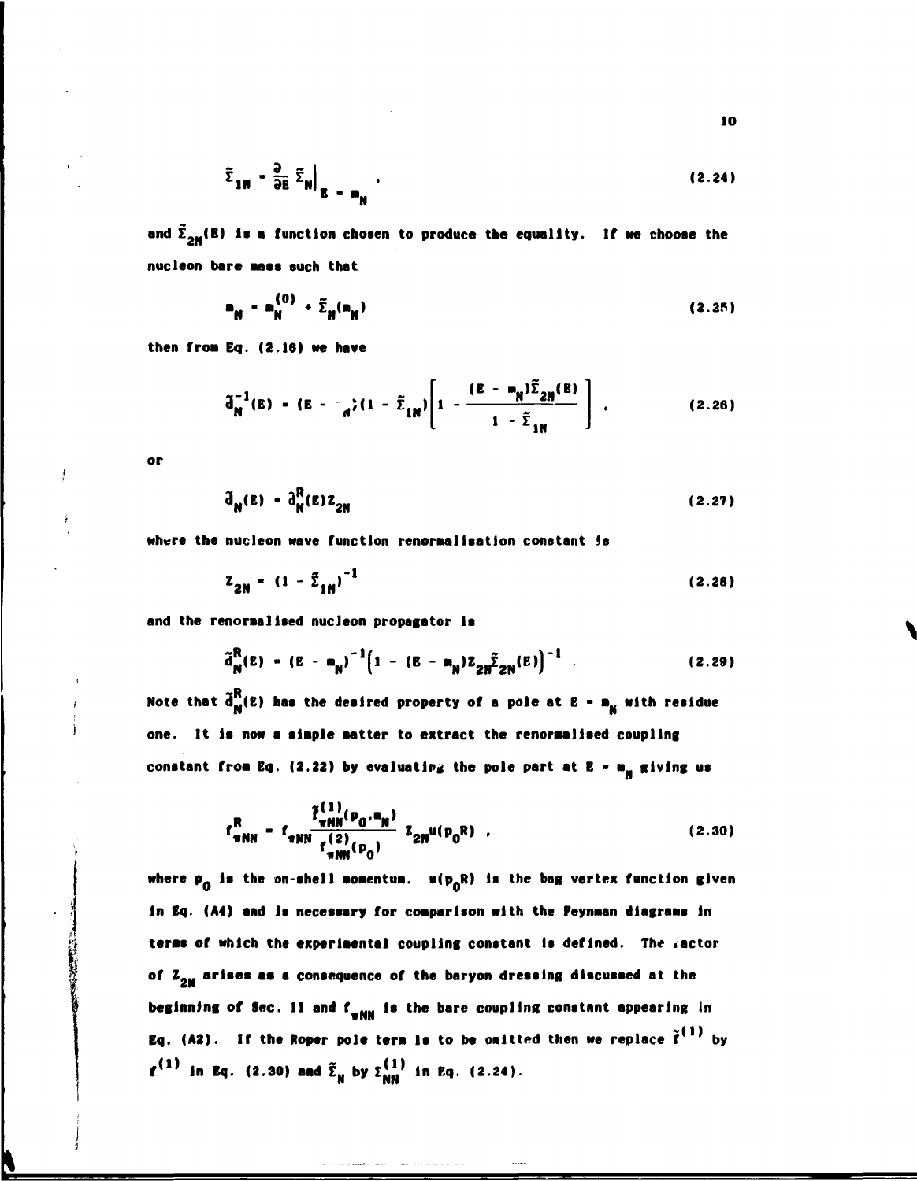$$
\tilde{\Sigma}_{1N} - \frac{\partial}{\partial E} \tilde{\Sigma}_N \Big|_{E = m_N} \tag{2.24}
$$

**a**nd  $\mathbf{L}_{2\mathbf{N}}(\mathbf{B})$  is a function chosen to produce the equality. If we choose the **nucleon bare aaas such that** 

$$
\mathbf{n}_{\mathsf{N}} = \mathbf{n}_{\mathsf{N}}^{(0)} + \widetilde{\Sigma}_{\mathsf{N}}(\mathbf{n}_{\mathsf{N}})
$$
 (2.25)

**then froa Eq. (2.16) we have** 

$$
\tilde{d}_{N}^{-1}(E) = (E - \frac{\epsilon}{d}) (1 - \tilde{\Sigma}_{1N}) \left[ 1 - \frac{(E - \mathbf{m}_{N}) \tilde{\Sigma}_{2N}(E)}{1 - \tilde{\Sigma}_{1N}} \right].
$$
 (2.26)

**or** 

$$
\tilde{\mathbf{d}}_{\mathbf{N}}(\mathbf{E}) - \tilde{\mathbf{d}}_{\mathbf{N}}^{R}(\mathbf{E})\mathbf{Z}_{2\mathbf{N}}
$$
 (2.27)

**where the nucleon wave function renoraallsatlon constant is** 

$$
Z_{2N} = (1 - \tilde{\Sigma}_{1N})^{-1}
$$
 (2.28)

**and the renoraallsed nucleon propagator la** 

$$
\tilde{d}_{N}^{R}(E) - (E - m_{N})^{-1} \Big( 1 - (E - m_{N}) Z_{2N} \tilde{\Sigma}_{2N}(E) \Big)^{-1}
$$
 (2.29)

Note that  $\tilde{d}_{\bf m}^{\bf R}$ (E) has the desired property of a pole at  ${\bf E}$  =  ${\bf m}_{\bf N}$  with residue **one. It la now a staple natter to extract the renoraallsed coupling**  constant from Eq. (2.22) by evaluating the pole part at E = m<sub>N</sub> giving us

$$
f_{\pi NN}^R = f_{\pi NN} \frac{\tilde{f}_{\pi NN}^{(1)}(P_0, P_N)}{f_{\pi NN}^{(2)}(P_0)} z_{2N} u(p_0 R) \quad .
$$
 (2.30)

where p<sub>o</sub> is the on-shell momentum. u(p<sub>o</sub>R) is the bag vertex function given **in Eq. (A4) and Is necessary for coaparlson with the Peynaan dlagraas in teras of which the experlaental coupling constant is defined. The .actor of Z,M arises as a consequence of the baryon dressing discussed at the beginning of Sec. II and f<sub><b>#NN**</sub> is the bare coupling constant appearing in **Eq. (A2).** If the Roper pole term is to be omitted then we replace  $\tilde{\mathbf{f}}^{\text{(1)}}$  by **f''' in Eq. (2.30) and Σ<sub>M</sub> by Σ''' in Eq. (2.24).**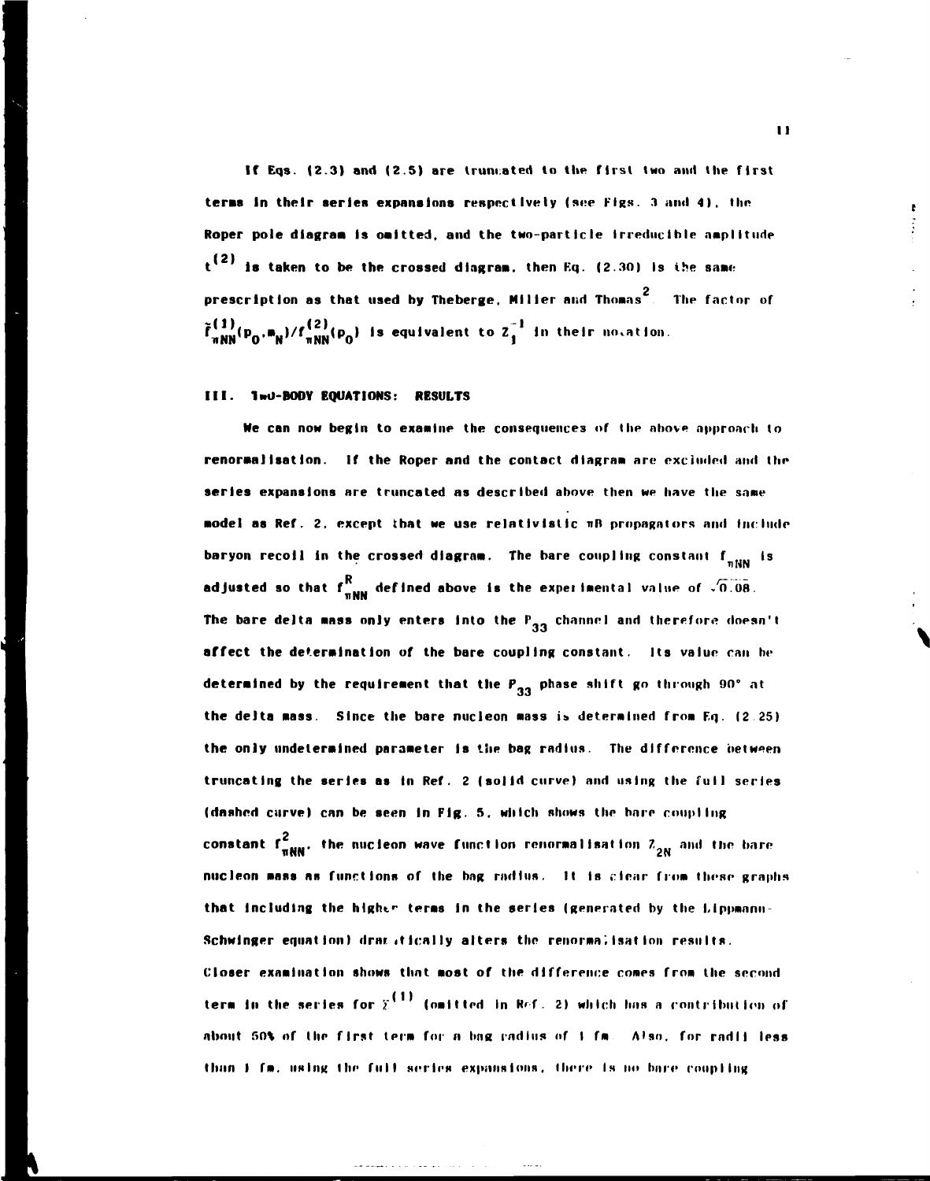**If Eqs. (2.3) and (2.5) are truncated to the first two and the first terms In their series expansions respectively (see Figs. 3 and 4) . the Roper pole dlagraa Is oaltted, and the two-particle Irreducible amplitude t<sup>(2)</sup> is taken to be the crossed diagram, then Eq. (2.30) Is the same** prescription as that used by Theberge, Miller and Thomas<sup>2</sup>. The factor of **^INN\* <sup>P</sup> 0 , " N , / iiNir'V <sup>l</sup> s e< l u,va,en t t o z i , n tnel <sup>r</sup> novation** 

## **III.** 1wU-BODY EQUATIONS: RESULTS

**Ne can now begin to examine the consequences of (he nhove approach to renorma)Isatlon. If the Roper and the contact diagram are excluded and the series expansions are truncated as described above then we have the same model as Ref. 2. except that we use relatlvlstlc nit propagators and include baryon recoil in the crossed diagram. The bare coupling constant f<sub>nNN</sub> is** R<br>R defined shows is the experimental value of <sup>n</sup>ne **adjusted so that f**  $_{\text{mNN}}$  **were designed results above the experimental value of -value.** The bare delta mass only enters into the  $P_{33}$  channel and therefore doesn't **affect the determination of the bare coupling constant. Its value can he**  determined by the requirement that the P<sub>33</sub> phase shift go through 90° at truncating the series as in Ref. 2 (solid curve) and using the fuil series (dashed curve) can be seen in Fig. 5, which shows the bare coupling **(dashed curve) can be seen In Fig. 5. which shows the hare roup I lug**  constant f  $\frac{2}{\pi NN}$ , the nucleon wave function renormalisation  $z_{2N}^2$  and the bare **nucleon mass as functions of the bag radius. It is clear from these graphs**  that including the higher terms in the series (generated by the *Lippmann*-Schwinger equation) drag itically alters the renormalisation results. **Closer examination shows that most of the difference comes from the second term in the series for**  $\tilde{\chi}^{(1)}$  **(omitted in Ref. 2) which has a contribution of** about 50% of the first term for a bag radius of 1 fm. Also, for radii less than **I** fm. using the full series expansions, there is no bare coupling

**II**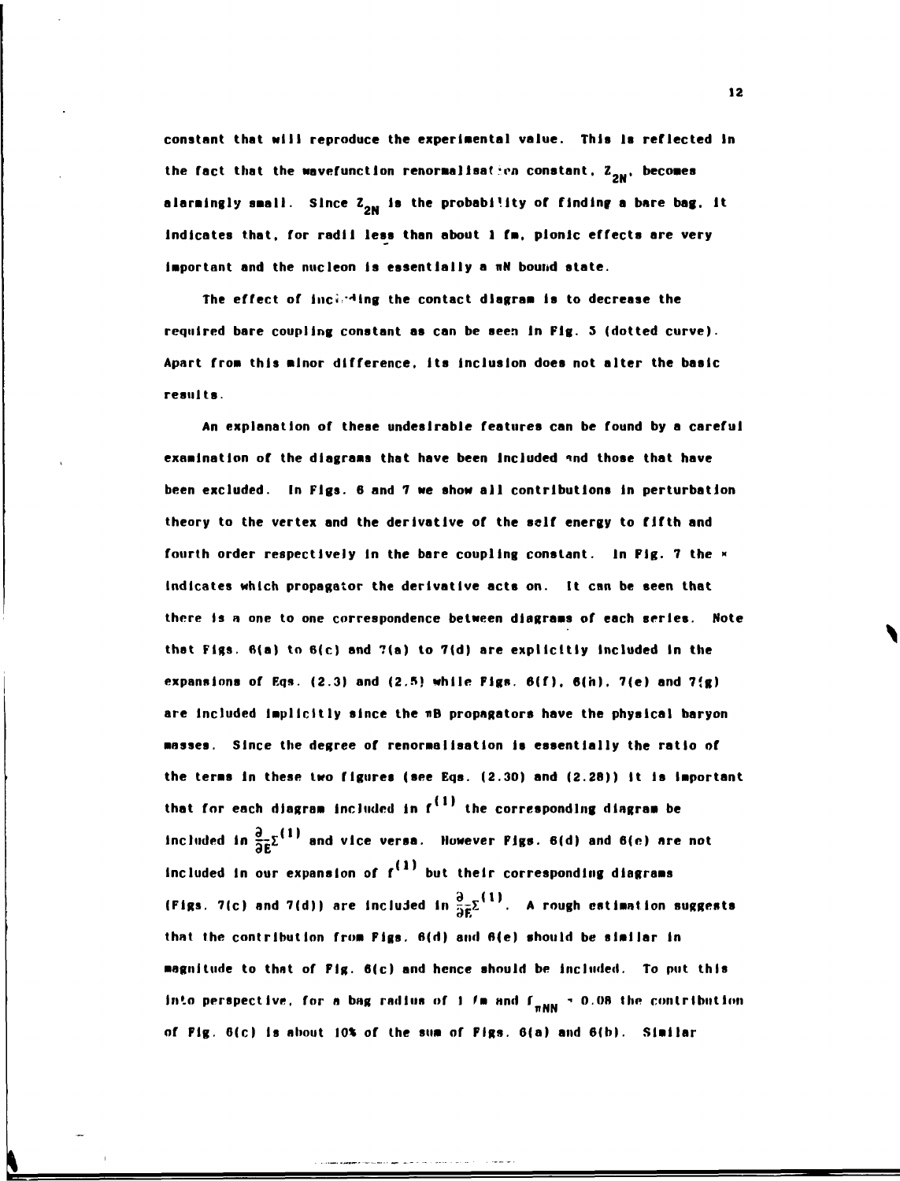**constant that Mill reproduce the experlaental value. This is reflected In**  the fact that the wavefunction renormalisation constant,  $Z_{_{2M}}$ , becomes **alarmingly small. Since**  $\mathbf{z_{_{SM}}}$  **is the probablilty of finding a bare bag. It** indicates that, for radii less than about 1 fm, pionic effects are very important and the nucleon is essentially a mN bound state.

required bare coupling constant as can be seen in Fig. 5 (dotted curve). Apart from this minor difference, its inclusion does not alter the basic results.

examination of the diagrams that have been included and those that have been excluded. In Figs. 6 and 7 we show all contributions in perturbation theory to the vertex and the derivative of the self energy to fifth and fourth order respectively in the bare coupling constant. In Fig. 7 the x indicates which propagator the derivative acts on. It can be seen that there is a one to one correspondence between diagrams of each series. Note **there Is n one to one correspondence between diagraaa of each series. Note**  that Figs.  $6(a)$  to  $6(c)$  and  $7(a)$  to  $7(d)$  are explicitly included in the expansions of Eqs. (2.3) and (2.5) while Figs.  $6(f)$ ,  $6(h)$ .  $7(e)$  and  $7(g)$ are included implicitly since the mB propagators have the physical baryon masses. Since the degree of renormalisation is essentially the ratio of the terms in these two figures (see Eqs. (2.30) and (2.28)) it is important that for each diagram included in  $f<sup>(1)</sup>$  the corresponding diagram be **that for each dlagraa Included in f the corresponding dlagraa be**  included in  $\frac{\partial}{\partial \tilde{\bm{r}}} \Sigma^{\{1\}}$  and vice versa. However Figs. 6(d) and 6(e) are not **included in our expansion of**  $f^{(1)}$  **but their corresponding diagrams** (Figs. 7(c) and 7(d)) are included in  $\frac{1}{2}e^{\sum_{i=1}^{n-1}x_i}$ . A rough estimation suggests or\* that the contribution from Pigs. 6(d) and 6(e) should be similar in magnitude to that of Fig. 6(c) and hence should be included. To put this into perspective, for a bag radius of 1  $\ell$ m and  $f_{\pi MN} \approx 0.08$  the contribution

**of Fig. 6(c) Is about 10% of the sua of Figs. 6(a) and 6(b). Slallar**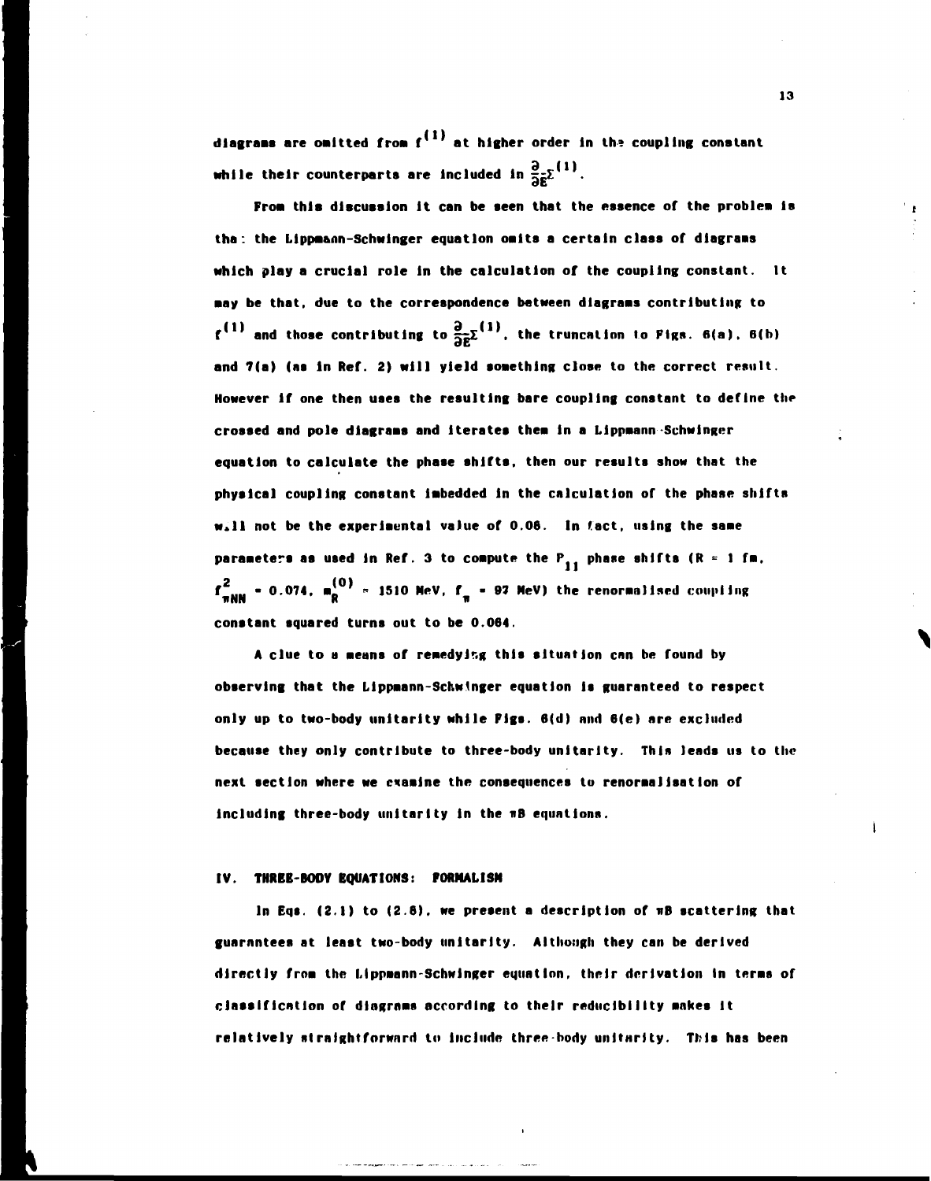**diagrams are oaltted froa f at higher order In th» coupling constant**  while their counterparts are included in  $\frac{\partial}{\partial \bar{\mathbf{z}}} \Sigma^{(1)}$ .

**Froa thia discussion It can be seen that the essence of the problea Is tha: the Llppa&nn-Schwinger equation oalts a certain class of dlagraas Mhlch play a crucial role In the calculation of the coupling constant. It aay be that, due to the correspondence between dlagraas contributing to**   $f^{(1)}$  and those contributing to  $\frac{\partial}{\partial \bar{z}} \Sigma^{(1)}$ , the truncation to Figs. 6(a), 6(b) and 7(a) (as in Ref. 2) will yield something close to the correct result. **However if one then uses the resulting bare coupling constant to define the crossed and pole dlagraas and iterates thea in a Lippaann -Schwinger equation to calculate the phase shifts, then our results show that the physical coupling constant labedded in the calculation of the phase shifts Will not be the experlaental value of 0.06. In fact, using the saae**  parameters as used in Ref. 3 to compute the  $P_{11}$  phase shifts (R = 1 fm,  $f_{\overline{n}}^m$  = 0.074,  $m_R^{12}$  = 1510 MeV,  $f_{\overline{n}}$  = 97 MeV) the renormalised coupling **constant squared turns out to be 0.064.** 

**A clue to a aeans of reaedyir.g this situation can be found by observing that the Llppaann-Schwtnger equation Is guaranteed to respect only up to two-body unltarlty while Figs. 6(d) and 6(e) are excluded because they only contribute to three-body unltarlty. This leads us to the next section where we exaalne the consequences to renoraallsation of Including three-body unltarlty In the nB equations.** 

#### **IV. THREE-BODY EQUATIONS: FORMALISM**

**In Eqs. (2.1) to (2.6). we present a description of wB scattering that guarantees at least two-body unltarlty. Although they can be derived directly froa the Uppaann-Schwinger equation, their derivation In teraa of classification of dlngrnas according to their reduclblllty aakes It relatively straightforward to Include three-body unltnrlty. This has been**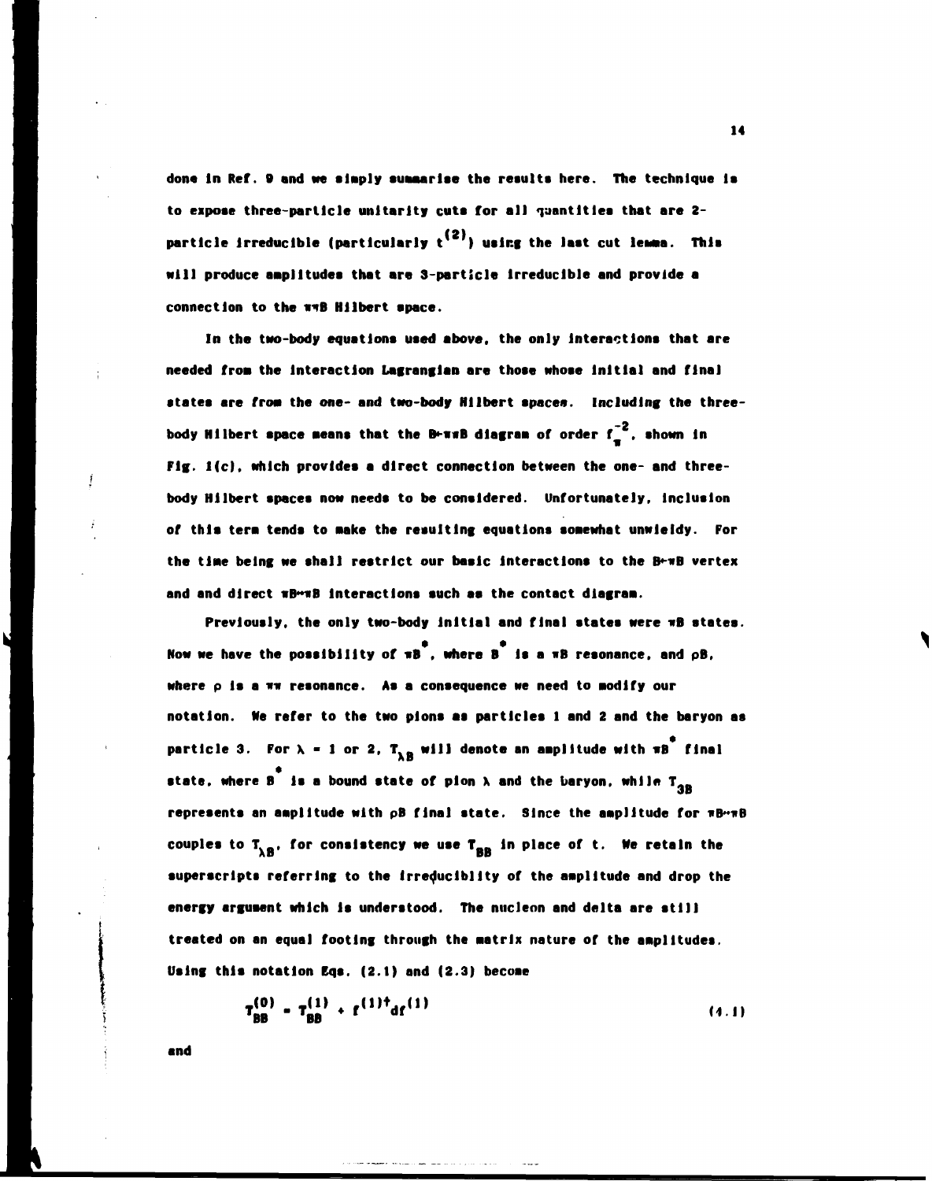**done in Ref. 9 and we slaply suaaarlse the results here. The technique Is to expose three-particle unltarlty cuts for all quantities that are 2** particle irreducible (particularly t<sup>(2)</sup>) using the last cut lemma. This **will produce aaplltudes that are 3-particle Irreducible and provide a connection to the v\*B Hllbert space.** 

**In the two-body equations used above, the only Interactions that are needed frost the Interaction Lagranglan are those whose initial and final**  states are from the one- and two-body Hilbert spaces. Including the three**body Hilbert space means that the B+wwB diagram of order f<sub>4</sub><sup>-2</sup>, shown in Fig. 1(c), which provides a direct connection between the one- and threebody Hilbert spaces now needs to be considered. Unfortunately, Inclusion of this tera tends to wake the resulting equations soaewhat unwieldy. For the tlaie being we shall restrict our basic Interactions to the B\*-nB vertex and and direct nB~nB Interactions such as the contact dlagraa.** 

**Previously, the only two-body Initial and final states were nB states.**  Now we have the possibility of  $\pi B$ , where B<sup>3</sup> is a  $\pi B$  resonance, and  $\rho B$ , where p is a  $n\pi$  resonance. As a consequence we need to modify our **notation. Ne refer to the two plons as particles 1 and 2 and the baryon as**  \* **particle 3. For X - 1 or 2, T.\_ will denote an aaplltude with nB final**  state, where **B** is a bound state of pion **A** and the baryon, while T<sub>3B</sub> represents an amplitude with pB final state. Since the amplitude for  $\pi B \rightarrow B$ **couples to T.\_, for consistency we use T\_\_ In place of t. Ne retain the**  superscripts referring to the irreduciblity of the amplitude and drop the energy argument which is understood. The nucleon and delta are still treated on an equal footing through the matrix nature of the amplitudes. Using this notation Eqs. (2.1) and (2.3) become

$$
T_{BB}^{(0)} = T_{BB}^{(1)} + f^{(1)\dagger} d f^{(1)}
$$
 (4.1)

**and**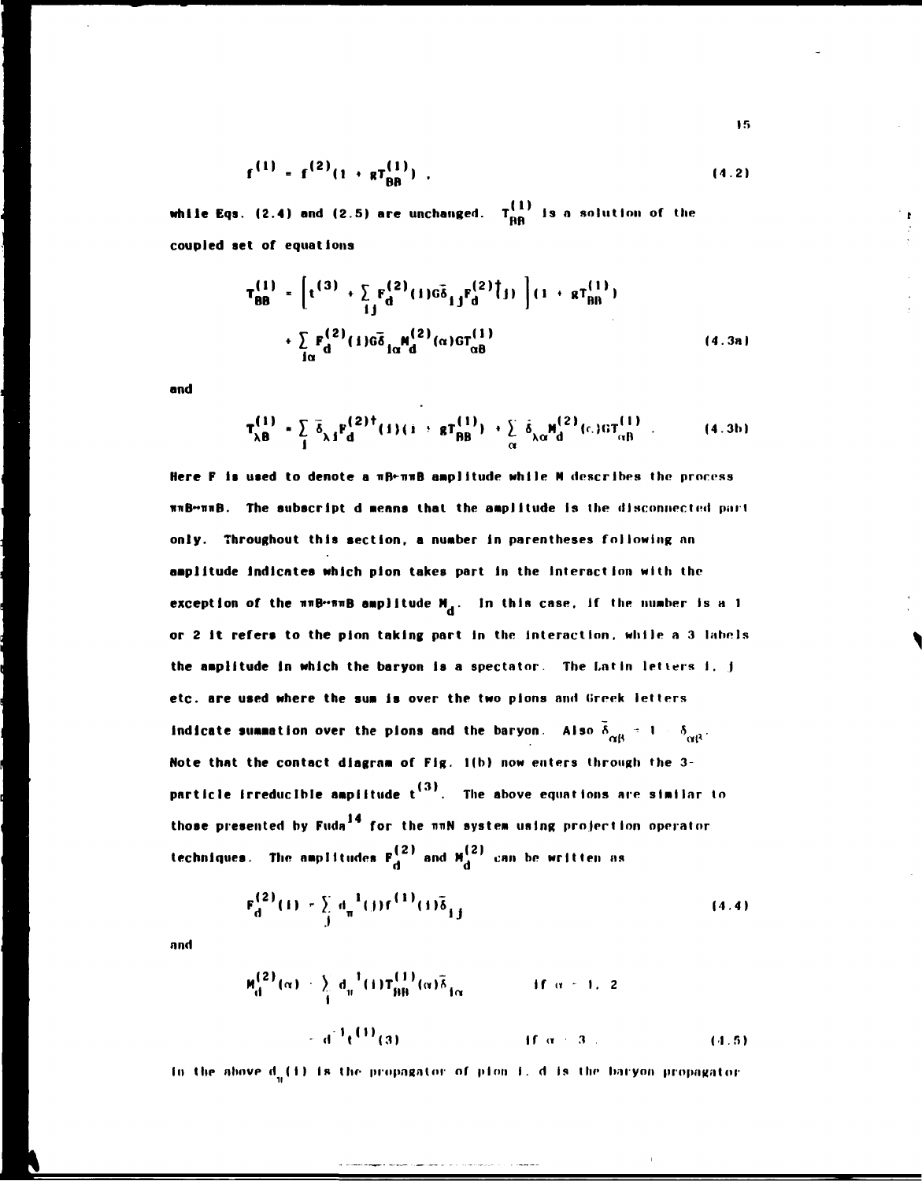$$
f^{(1)} = f^{(2)}(1 + gT_{\text{BR}}^{(1)}) \tag{4.2}
$$

**while Eqs. (2.4) and (2.5) are unchanged.**  $T_{\rm BB}^{\left(1\right)}$  is a solution of the **coupled set of equations** 

$$
T_{BB}^{(1)} = \left[ t^{(3)} + \sum_{i,j} F_d^{(2)}(1) \bar{\sigma}_{i,j}^2 F_d^{(2)}(j) \right] (1 + g T_{BB}^{(1)})
$$
  
+ 
$$
\sum_{i\alpha} F_d^{(2)}(1) \bar{\sigma}_{i\alpha}^2 M_d^{(2)}(\alpha) \sigma T_{\alpha B}^{(1)}
$$
(4.3a)

**and** 

$$
T_{\lambda B}^{(1)} = \sum_{i} \bar{\delta}_{\lambda i} F_{d}^{(2) \dagger} (i) (i + g T_{BB}^{(1)}) + \sum_{\alpha} \bar{\delta}_{\lambda \alpha} H_{d}^{(2)} (c) \sigma T_{\alpha B}^{(1)} \t\t(4.3b)
$$

**Here F Is used to denote a nB\*-miB amplitude while N describes the process \*\*B"i\*B.** The subscript d means that the amplitude is the disconnected part **only. Throughout this section, a number In parentheses following nn amplitude Indicates which plon takes part in the Interaction with the exception of the**  $n \cdot n \cdot B$  **amplitude**  $M_{d}$ **.** In this case, if the number is a 1 or 2 it refers to the pion taking part in the interaction, while a 3 labels the amplitude in which the baryon is a spectator. The Latin letters i, j etc. are used where the sum is over the two pions and Greek letters **etc. are used where the sum Is over the two plons and Creek letters Indicate summation over the plons and the baryon over the plons and the baryon.**  $\mathbf{G}(\mathbf{r})$ **a** of Fig. 1(b) now enters through the 3-**Note that the contact diagram of Fig. 1(b) now enters through the 3- (3) particle Irreducible amplitude t The above equations are similar to**  those presented by Fuda<sup>14</sup> for the nnN system using projection operator **(2) techniques. The amplitudes**  $F_d^{(2)}$  **and**  $M_d^{(2)}$  **can be written as** 

$$
F_d^{(2)}(1) = \sum_j d_{\pi}^{-1}(j) f^{(1)}(1) \delta_{j,j}
$$
 (4.4)

**and** 

$$
M_{\text{d}}^{(2)}(\alpha) = \sum_{i} d_{ii}^{-1}(i) T_{\text{BB}}^{(1)}(\alpha) \bar{\delta}_{\text{1}\alpha} \qquad \text{if } \alpha = 1, 2
$$
  
=  $d^{-1} t^{(1)}(3)$  if  $\alpha = 3$ . (4.5)

In the above d<sub>u</sub>(1) is the propagator of pion I. d is the baryon propagator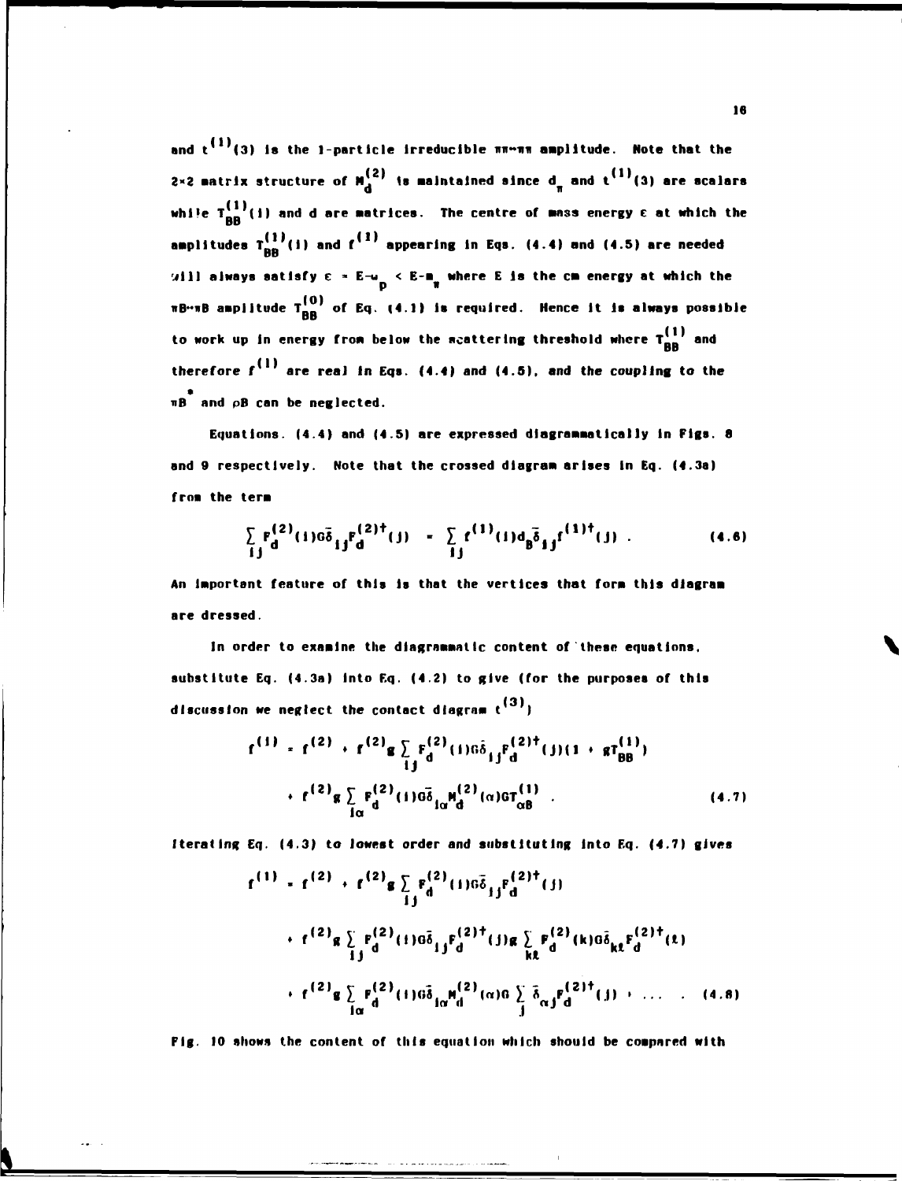and  $t^{(1)}(3)$  is the 1-particle irreducible  $\pi\pi\gamma\pi\pi$  amplitude. Note that the 2×2 matrix structure of  $M_d^{(2)}$  is maintained since  $d_{\pi}$  and  $t^{(1)}(3)$  are scalars while  $T_{BB}^{(1)}(i)$  and d are matrices. The centre of mass energy  $\varepsilon$  at which the amplitudes  $T_{BB}^{(1)}(i)$  and  $f^{(1)}$  appearing in Eqs. (4.4) and (4.5) are needed will always satisfy  $\varepsilon = E^{-1}$   $\sim$  E-m<sub>n</sub> where E is the cm energy at which the  $\pi$ B… $\pi$ B amplitude  $T_{BB}^{(0)}$  of Eq. (4.1) is required. Hence it is always possible to work up in energy from below the meattering threshold where  $T_{RR}^{(1)}$  and therefore  $f^{(1)}$  are real in Eqs. (4.4) and (4.5), and the coupling to the  $\pi$ B and  $\phi$ B can be neglected.

Equations. (4.4) and (4.5) are expressed diagrammatically in Figs. 8 and 9 respectively. Note that the crossed diagram arises in Eq. (4.3a) from the term

$$
\sum_{i,j} F_d^{(2)}(1) \tilde{\sigma}_{ij} F_d^{(2)\dagger}(j) = \sum_{i,j} f^{(1)}(i) d_{ij} \tilde{\sigma}_{ij} f^{(1)\dagger}(j) . \qquad (4.6)
$$

An important feature of this is that the vertices that form this diagram are dressed.

In order to examine the diagrammatic content of these equations, substitute Eq. (4.3a) into Eq. (4.2) to give (for the purposes of this discussion we neglect the contact diagram  $t^{(3)}$ )

$$
f^{(1)} = f^{(2)} + f^{(2)}g \sum_{i,j} F_d^{(2)}(1)G\delta_{ij}F_d^{(2)^\dagger}(j)(1 + gf_{BB}^{(1)})
$$
  
+ 
$$
f^{(2)}g \sum_{i\alpha} F_d^{(2)}(1)G\delta_{i\alpha}H_d^{(2)}(\alpha)GT_{\alpha B}^{(1)}
$$
 (4.7)

Iterating Eq. (4.3) to lowest order and substituting into Eq. (4.7) gives

$$
f^{(1)} = f^{(2)} + f^{(2)}g \sum_{i,j} F_d^{(2)}(1) \sigma \bar{\delta}_{ij} F_d^{(2) \dagger}(j)
$$
  
+ 
$$
f^{(2)}g \sum_{i,j} F_d^{(2)}(1) \sigma \bar{\delta}_{ij} F_d^{(2) \dagger}(j) g \sum_{k} F_d^{(2)}(k) \sigma \bar{\delta}_{k} F_d^{(2) \dagger}(t)
$$
  
+ 
$$
f^{(2)}g \sum_{i\alpha} F_d^{(2)}(1) \sigma \bar{\delta}_{i\alpha} M_d^{(2)}(\alpha) \sigma \sum_{j} \bar{\delta}_{\alpha j} F_d^{(2) \dagger}(j) + \dots \qquad (4.8)
$$

Fig. 10 shows the content of this equation which should be compared with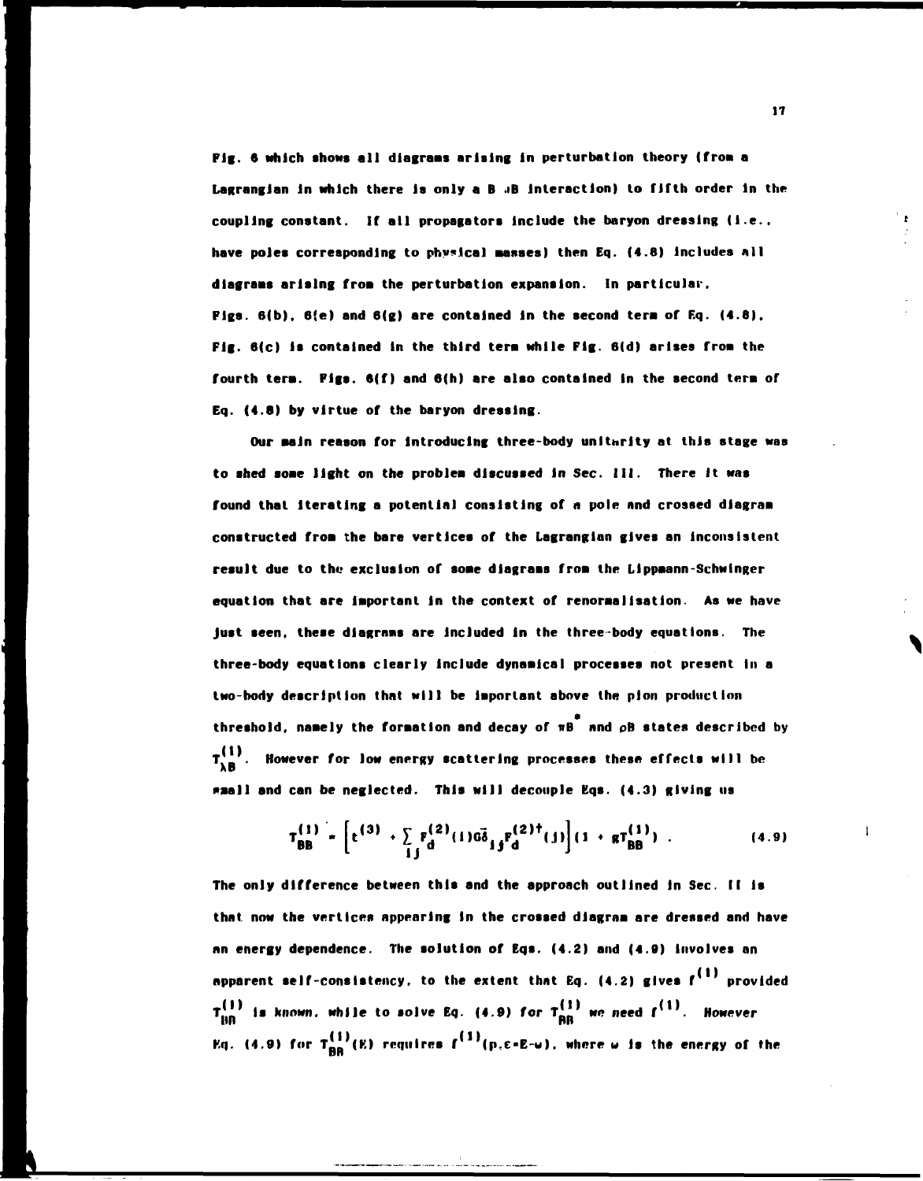**Pig. 6 which shows all diagrams arising In perturbation theory (froa a**  Lagrangian in which there is only a B **«B** interaction) to fifth order in the **coupling constant. If all propagators Include the baryon dressing (I.e..**  have poles corresponding to physical masses) then Eq. (4.8) includes all **diagrams arising frost the perturbation expansion. In particular, Figs. 6(b). 6(e) and 6(g) are contained in the second tern of Eq. (4.8).**  Fig. 6(c) is contained in the third term while Fig. 6(d) arises from the **fourth tera. Figs. 6(f) and 6(h) are also contained in the second tern of Eq. (4.6) by virtue of the baryon dressing.** 

**Our aain reason for introducing three-body unltxrlty at this stage was to shed soae light on the problea discussed in Sec. III. There It was found that Iterating a potential consisting of a pole and crossed diagraa constructed froa the bare vertices of the Lagranglan gives an Inconsistent result due to the exclusion of soae dlagraas froa the Llppaann-Schwinger equation that are iaportant In the context of renoraalisatlon. As we have just seen, these diagrams are included in the three-body equations. The** three-body equations clearly include dynamical processes not present in a two-body description that will be important above the pion production **threshold, naaely the foraation and decay of nB and pB states described by**   $T_{\lambda B}^{(1)}$ . However for low energy scattering processes these effects will be  $\mathbf{r}$ **\*»all and can be neglected. This will decouple Kqs. (4.3) giving us** 

$$
T_{BB}^{(1)} = \left[ t^{(3)} + \sum_{i,j} F_d^{(2)}(i) \vec{a}_{ij}^T F_d^{(2)\dagger}(j) \right] (1 + g T_{BB}^{(1)}) \tag{4.9}
$$

**The only difference between this and the approach outlined in Sec. II Is that now the vertices appearing In the crossed diagraa are dressed and have an energy dependence. The solution of Eqs. (4.2) and (4.B) involves an apparent self-consistency, to the extent that Eq. (4.2) gives**  $f^{(1)}$  **provided**  $T_{100}^{\prime\prime}$  is known, while to solve Eq. (4.9) for  $T_{00}^{\prime\prime}$  we need  $f^{\prime\prime\prime}$ . However **HI? HI? HI? HI? HI? HI? HI? HI? Eq. (4.9) for T^'(K) requires f\*! '(p,e>E-w). where w Is the energy of the** 

**17** 

 $\mathbf{I}$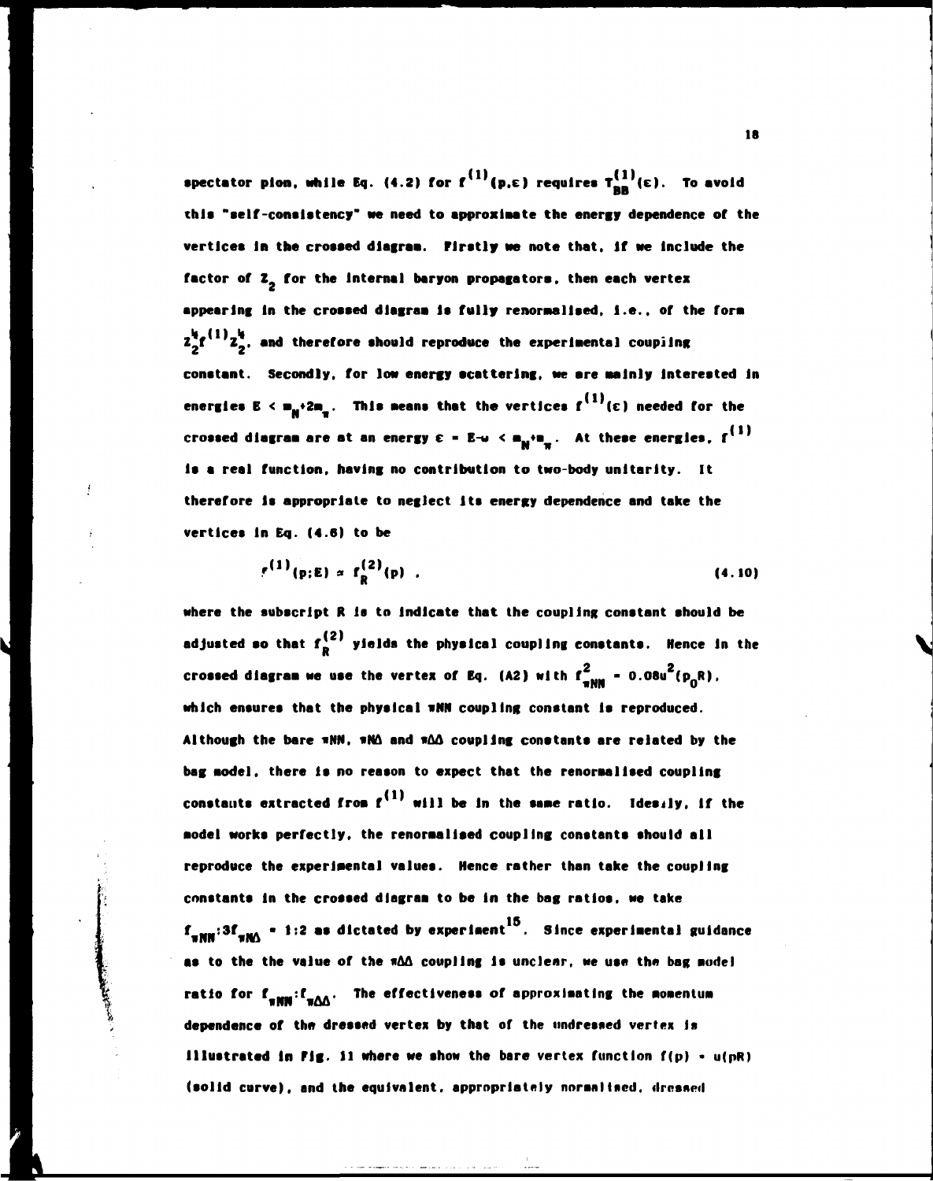**spectator pion, while Eq. (4.2) for**  $f^{(1)}(p,\epsilon)$  **requires**  $T_{nn}^{(1)}(\epsilon)$ **. To avoid** this "self-consistency" we need to approximate the energy dependence of the vertices in the crossed diagram. Firstly we note that, if we include the factor of Z<sub>a</sub> for the internal baryon propagators, then each vertex appearing in the crossed diagram is fully renormalised, i.e., of the form  $z_2^k f^{(1)} z_2^k$ , and therefore should reproduce the experimental coupling constant. Secondly, for low energy scattering, we are mainly interested in **energies E** <  $m_{\mu}$   $\cdot$  2 $m_{\mu}$ . This means that the vertices  $f^{(1)}(\epsilon)$  needed for the **energies E < ••2 w . This weans that the vertices f (c) needed for the PI w**  0 [W( therefore is appropriate to neglect its energy dependence and take the vertices in Eq. (4.6) to be

$$
r^{(1)}(p;E) \propto f_R^{(2)}(p) \quad . \tag{4.10}
$$

**where the subscript R is to indicate that the coupling constant should be**  adjusted so that  $f_R^{(2)}$  yields the physical coupling constants. Hence in the **crossed diagram we use the vertex of Eq. (A2) with**  $f_{\text{num}}^2$  **= 0.08u<sup>2</sup>(p<sub>o</sub>R), UNW O**  which ensures that the physical wMN coupling constant is reproduced. **which ensures that the physical iNN coupling constant Is reproduced.**  Although the bare  $\pi NN$ ,  $\pi M\Delta$  and  $\pi\Delta\Delta$  coupling constants are related by the **Although the bare uNN, «NA and «AA coupling conatanta are related by the bag aodel. there Is no reason to expect that the renoraallsed coupling constants extracted froa f will be in the sane ratio. Ideuly, if the aodel works perfectly, the renoraallaed coupling constants should all**  reproduce the experimental values. Hence rather than take the coupling **reproduce the experimental valuea. Hence rather than take the coupling constants in the crossed dlagraa to be in the bag ratloa, we take f N|| :3f .j. • 1:2 as dictated by experlaent Since experimental guidance as to the the value of the «AA coupling Is unclear, we use the bag nodel ratio for f IMI/'.AA- Tn \* effectiveness of approxlaatlng the aoaentun dependence of the dressed vertex by that of the undressed vertex is Illustrated In Fig. 11 where we ahow the bare vertex function f(p) \* u(pR)**  (solid curve), and the equivalent, appropriately normalised, dressed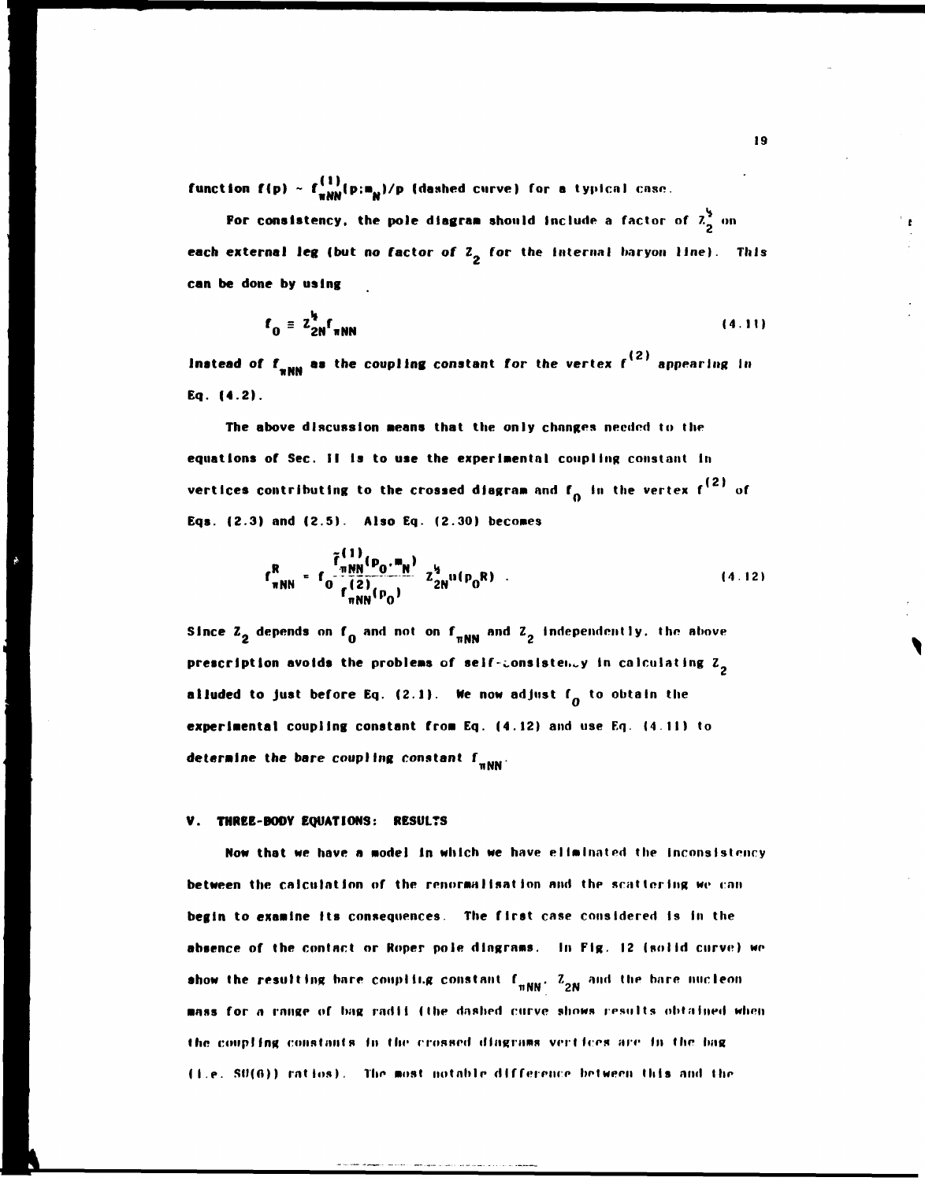**function f(p) ~ f NN (P: <sup>H</sup> <sup>N</sup> ) / P (dashed curve) for a typical cnsc.** 

**For consistency, the pole diagram should include a factor of**  $\frac{2}{2}$  **on each external leg (but no factor of Z<sub>2</sub> for the internal baryon line). This can be done by using** 

$$
f_0 = z_{2N}^h f_{\pi NN} \tag{4.11}
$$

 $\bm{l}$  **Instead of**  $\bm{f}_{\perp}$  **as the coupling constant for the vertex**  $\bm{f}^{(2)}$  **appearing in**  $\bm{f}$ **Eq. (4.2).** 

**The above discussion aeans that the only changes needed to the equations of Sec. II Is to use the experimental coupling constant In vertices contributing to the crossed diagram and f<sub>o</sub> in the vertex f<sup>(2)</sup> of Eqs. (2.3) and (2.5). Also Eq. (2.30) becomes** 

$$
f_{\pi NN}^R = f_0 \frac{\tilde{f}_{\pi NN}^{(1)}(p_0, m_N)}{f_{\pi NN}^{(2)}(p_0)} z_{2N}^{i_2} u(p_0 R) \tag{4.12}
$$

 $f_a$  and  $n$ prescription avoids the problems of self-consistency in calculating Z<sub>2</sub> **alluded to just before Eq. (2.1). We now adjust**  $f_a$  **to obtain the** experimental coupling constant from Eq. (4.12) and use Eq. (4.11) to **determine the bare coupling constant**  $f_{min}$ **.** 

## **V. THREE-BODY EQUATIONS: RESULTS**

**Now that we have a model in which we have eliminated the incnnsistency between the calculation nf the renoraalIsat Ion and thp scattering we can begin to examine Its consequences. The first case considered Is In the absence of the contact or Roper pole diagrams. In Fig. 12 (solid curve) we show the resulting bare coupling constant**  $f_{\text{mNN}}$ **.**  $Z_{2N}$  and the bare nucleon mass for a range of bag radii (the dashed curve shows results obtained when **the coupling constants in the crossed dlngi-tims vertices are In the hag (I.e. Sl)(0)) ratios). The most notnhle difference between this and the**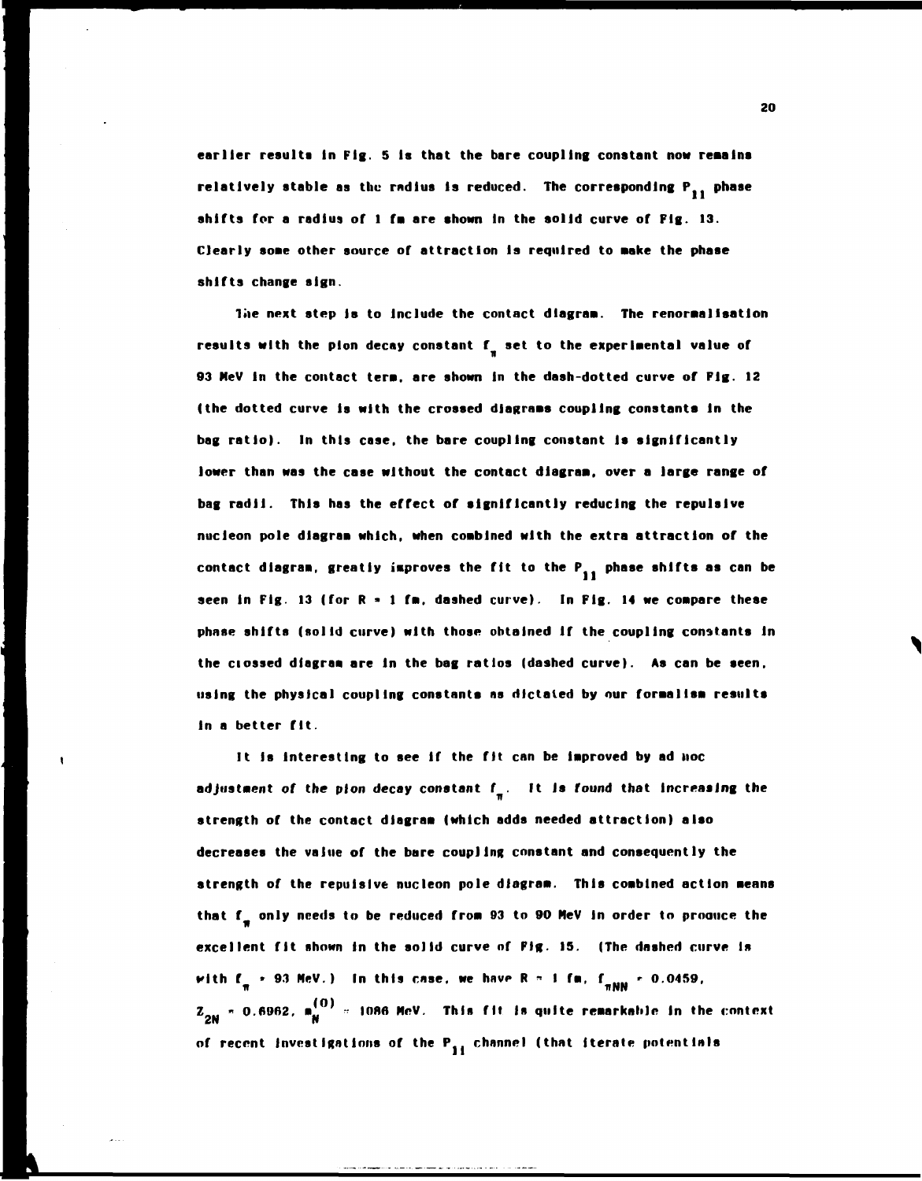**earlier results In Fig. 5 Is that the bare coupling constant now remains**  relatively stable as the radius is reduced. The corresponding P<sub>an</sub> phase **shifts for a radius of 1 fa are shown in the solid curve of Fig. 13. Clearly some other source of attraction Is required to Make the phase shifts change sign.** 

**Toe next step la to Include the contact dlagraa. The renoraalIsation**  results with the pion decay constant f<sub>2</sub> set to the experimental value of **93 NeV In the contact tera. are shown In the dash-dotted curve of Fig. 12 (the dotted curve Is with the crossed diagrams coupling constants In the bag ratio). In this case, the bare coupling constant Is significantly lower than was the case without the contact dlagraa, over a large range of bag radii. This has the effect of significantly reducing the repulsive nucleon pole dlagraa which, when coablned with the extra attraction of the**  contact diagram, greatly improves the fit to the P<sub>11</sub> phase shifts as can be **seen In Fig. 13 (for R » 1 fa, dashed curve). In Pig. 14 we coapare these phase shifts (solid curve) with those obtained If the coupling constants In the ciossed diagram are In the bag ratios (dashed curve). As can be seen, using the physical coupling constants as dictated by our foraallsa results In a better fit.** 

It is interesting to see if the fit can be improved by ad **HOC adjustaent of the plon decay constant f . It Is round that Increasing the strength of the contact dlagraa (which adds needed attraction) also decreases the value of the bare coupling constant and consequently the strength of the repulsive nucleon pole dlagraa. This combined action means**  that f<sub>a</sub> only needs to be reduced from 93 to 90 MeV in order to produce the **excellent fit shown in the solid curve of Fig. 15. (The dashed curve Is**  *with* $f_n \div 93$  **MeV.) In this case, we have R = 1 fm,**  $f_{nMN} \div 0.0459$ **, z**<sub>2N</sub> = 0.6962, m<sub>N</sub><sup>(0)</sup> = 1086 MeV. This fit is quite remarkable in the context of recent investigations of the P<sub>11</sub> channel (that iterate potentials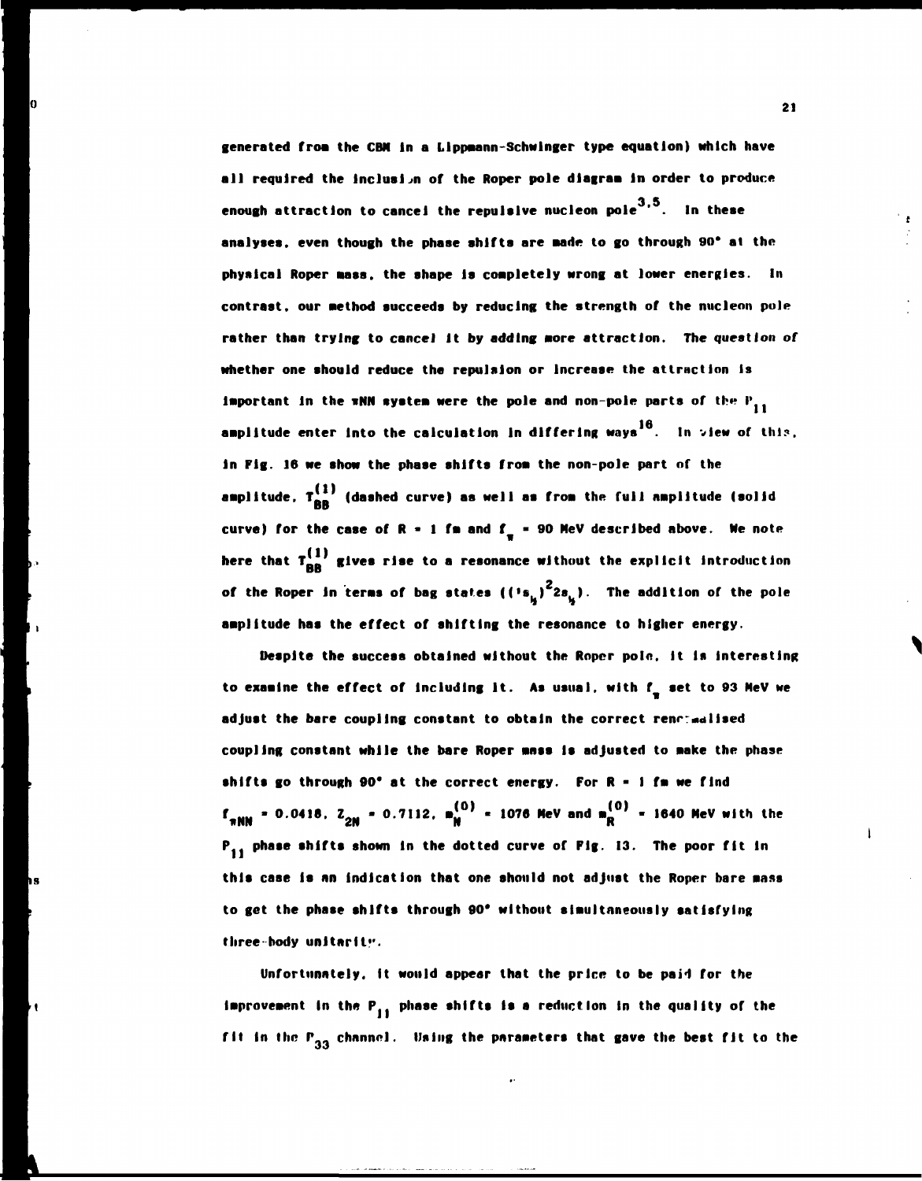**generated froa the CBN In a Llppaann-Schwlnger type equation) which have all required the inclusion of the Roper pole dlagraa In order to produce 3 5 enough attraction to cancel the repulsive nucleon pole ' In these analyses, even though the phase shifts are Bade to go through 90\* at the physical Roper aass. the shape Is coapletely wrong at lower energies. In contrast, our aethod succeeds by reducing the strength of the nucleon pole rather than trying to cancel it by adding aore attraction. The question of whether one should reduce the repulsion or Increase the attraction is important in the wNN system were the pole and non-pole parts of the**  $P_{11}$ **amplitude enter into the calculation in differing ways<sup>16</sup>. In view of this, in Fig. 16 we show the phase shifts froa the non-pole part of the**  amplitude, Ti<sup>ser</sup> (dashed curve) as well as from the full nmplitude (solid **and** curve) for the case of  $R - 1$  fm and  $f = -90$  MeV described above. We note **here that**  $T_{RR}^{(1)}$  **gives rise to a resonance without the explicit introduction of the Roper in terms of bag states ((<sup>1</sup>s.** )<sup>2</sup>2s.). The addition of the pole amplitude has the effect of shifting the resonance to higher energy.

**Despite the success obtained without the Roper pole. It is Interesting**  to examine the effect of including it. As usual, with f<sub>r</sub> set to 93 MeV we adjust the bare coupling constant to obtain the correct renormalised **coupling constant while the bare Roper ansa Is adjusted to aake the phase shifts go through 90\* at the correct energy. For R - I fa we find**   $f_{\pi NN}$  = 0.0418. Z<sub>2N</sub> = 0.7112.  $m_N^{(0)}$  = 1076 MeV and  $m_R^{(0)}$  = 1640 MeV with the **P<sub>11</sub>** phase shifts shown in the dotted curve of Fig. 13. The poor fit in **this case is an Indication that one should not adjust the Roper bare aass to get the phase shifts through 90\* without slaultnneously satisfying three-body unltarltv-**

Unfortunately, it would appear that the price to be paid for the **improvement in the P<sub>11</sub> phase shifts is a reduction in the quality of the** fit in the P<sub>33</sub> channel. Using the parameters that gave the best fit to the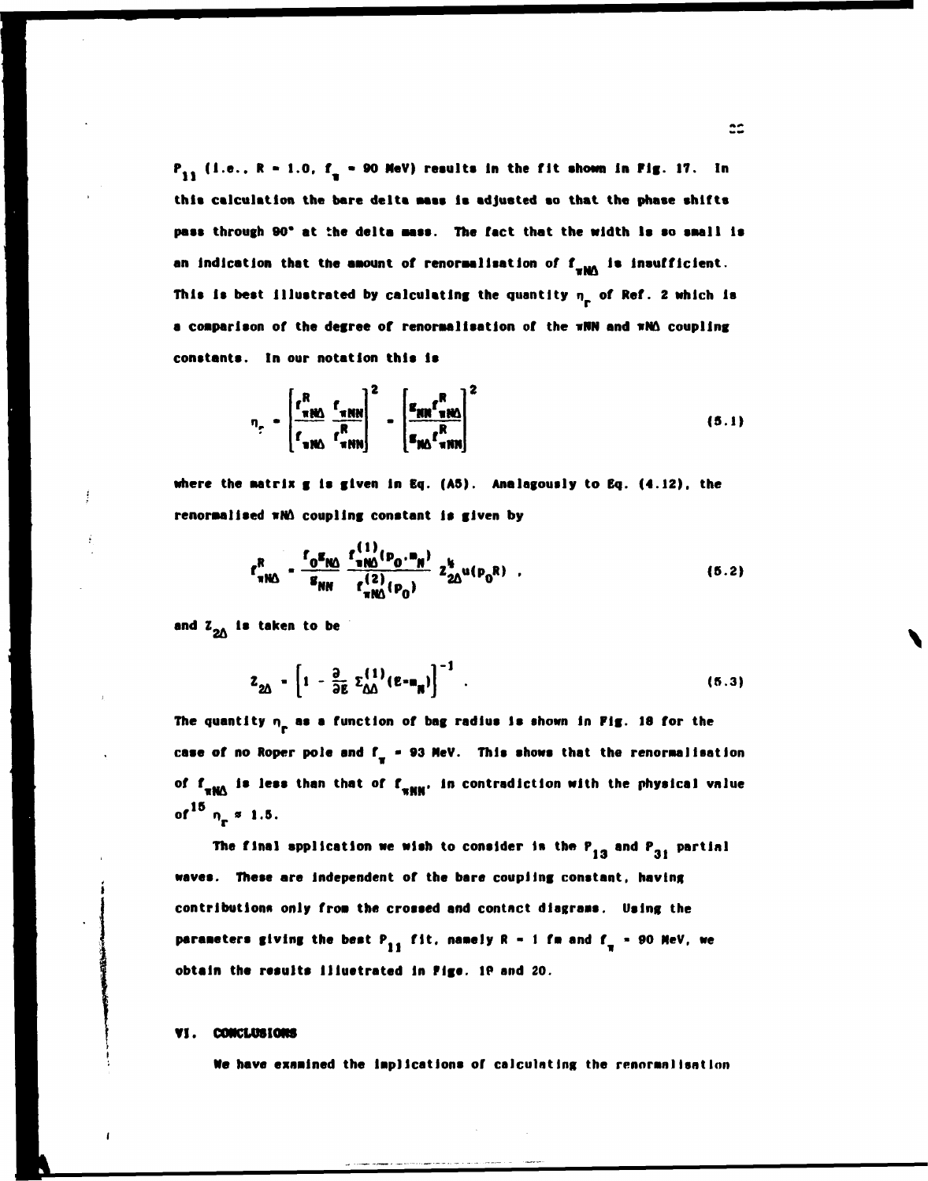**P<sub>11</sub>** (i.e.,  $R = 1.0$ ,  $f_n = 90$  MeV) results in the fit shown in Pig. 17. In **this calculation the bare delta aass la adjusted so that the phase shifts paas through 90\* at the delta mass. The fact that the width la so saall Is**  an indication that the amount of renormalisation of f<sub>ram</sub> is insufficient. **This is best Illustrated by calculating the quantity n of Ref. 2 which Is**  a comparison of the degree of renormalisation of the wWN and wNA coupling

$$
n_r = \left[\frac{r_{\text{R}}^R}{r_{\text{R}}^R} \frac{r_{\text{R}}^R}{r_{\text{R}}^R}\right]^2 - \left[\frac{\epsilon_{\text{R}} r_{\text{R}}^R}{\epsilon_{\text{R}} r_{\text{R}}^R}\right]^2
$$
(5.1)

where the matrix g is given in Eq. (A5). Analagously to Eq. (4.12), the renormalised  $m\Lambda$  coupling constant is given by

 $\sim$   $\sim$ 

$$
r_{\pi N\Delta}^{R} = \frac{r_{0}^{g}r_{N\Delta}^{q}}{g_{NN}} \frac{r_{\pi N\Delta}^{(1)}(p_{0} \cdot m_{N})}{r_{\pi N\Delta}^{(2)}(p_{0})} z_{2\Delta}^{g} u(p_{0}R) \quad . \tag{5.2}
$$

**and Z\_A la taken to be** 

**2A** 

$$
Z_{2\Delta} = \left[1 - \frac{\partial}{\partial E} \Sigma_{\Delta\Delta}^{(1)} (E - m_{\mathbf{R}})\right]^{-1} \tag{5.3}
$$

The quantity  $n_{\rm p}$  as a function of bag radius is shown in Fig. 18 for the case of no Roper pole and f<sub>y</sub> = 93 MeV. This shows that the renormalisation of f<sub>**xMA**</sub> is less than that of f<sub>\*MM</sub>, in contradiction with the physical vnlue of  $^{15}$   $n_{\pi}$   $\approx$  1.5.

The final application we wish to consider is the  $P_{13}$  and  $P_{31}$  partial **waves. These are Independent of the bare coupling constant, having contributions only froa the crossed and contact dlagraas. Using the parameters giving the best P<sub>11</sub> fit, namely R - 1 fm and f<sub>x</sub> = 90 MeV, we obtain the results Illustrated In Pigs. IP and 20.** 

## **VI. CONCLUSIONS**

**We have examined the Implications of calculating the rennrnnlisntInn**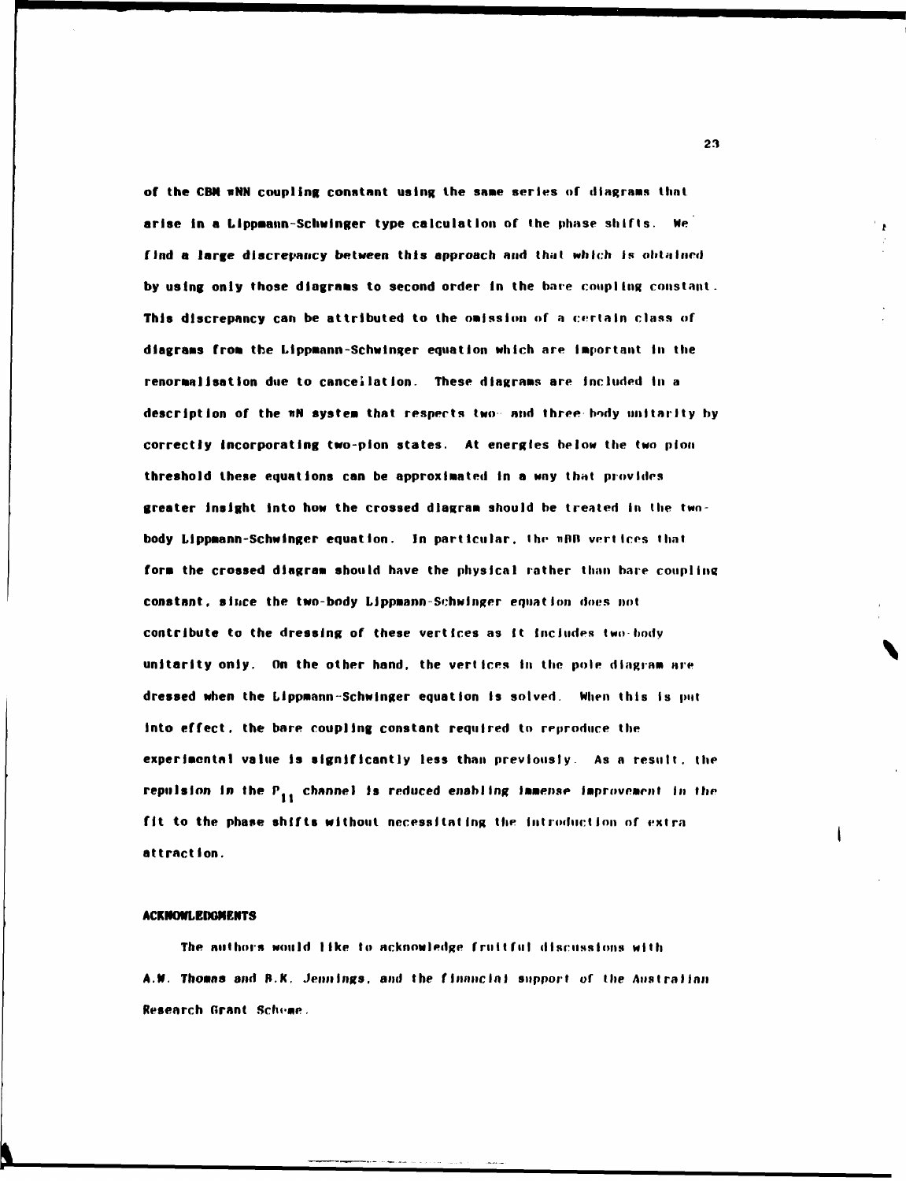**of the CBN wNN coupling constant using the saae series of diagrams that arise In a Llppaann-Schwinger type calculation of the phase shifts. We find a large discrepancy between this approach and that which is obtained by using only those dlagraas to second order in the bare coupling constant. This discrepancy can be attributed to the omission of a certain class of dlagraas froa the Llppaann-Schwinger equation which are important in the renoraallsation due to cancellation. These dlagraas are Included In a description of the nN systea that respects two and three body unttarity hy correctly Incorporating two-plon states. At energies below the two pion threshold these equations can be approximated in a way that provides greater insight Into how the crossed dlagraa should he treated In the two**  body Lippmann-Schwinger equation. In particular, the u<sub>BB</sub> vertices that **fora the crossed diagraa should have the physical rather than bare coupling constant, since the two-body Lippaann-Schwinger equation does not contribute to the dressing of these vertices as It Includes two body unitarlty only. On the other hand, the vertices In the pole dingraa are dressed when the Lippaann-Schwlnger equation is solved. When this is put into effect, the bare coupling constant required to reproduce the experimental value Is significantly less than previously. As a result, the**  repulsion in the P<sub>11</sub> channel is reduced enabling immense improvement in the fit to the phase shifts without necessitating the introduction of extra **attraction.** 

## **ACKNOWLEDGMENTS**

**The authors would like to acknowledge fruitful discussions with A.N. Thoans and R.K. Jennings, and the financial support of the Australian Research Grant Scheme.**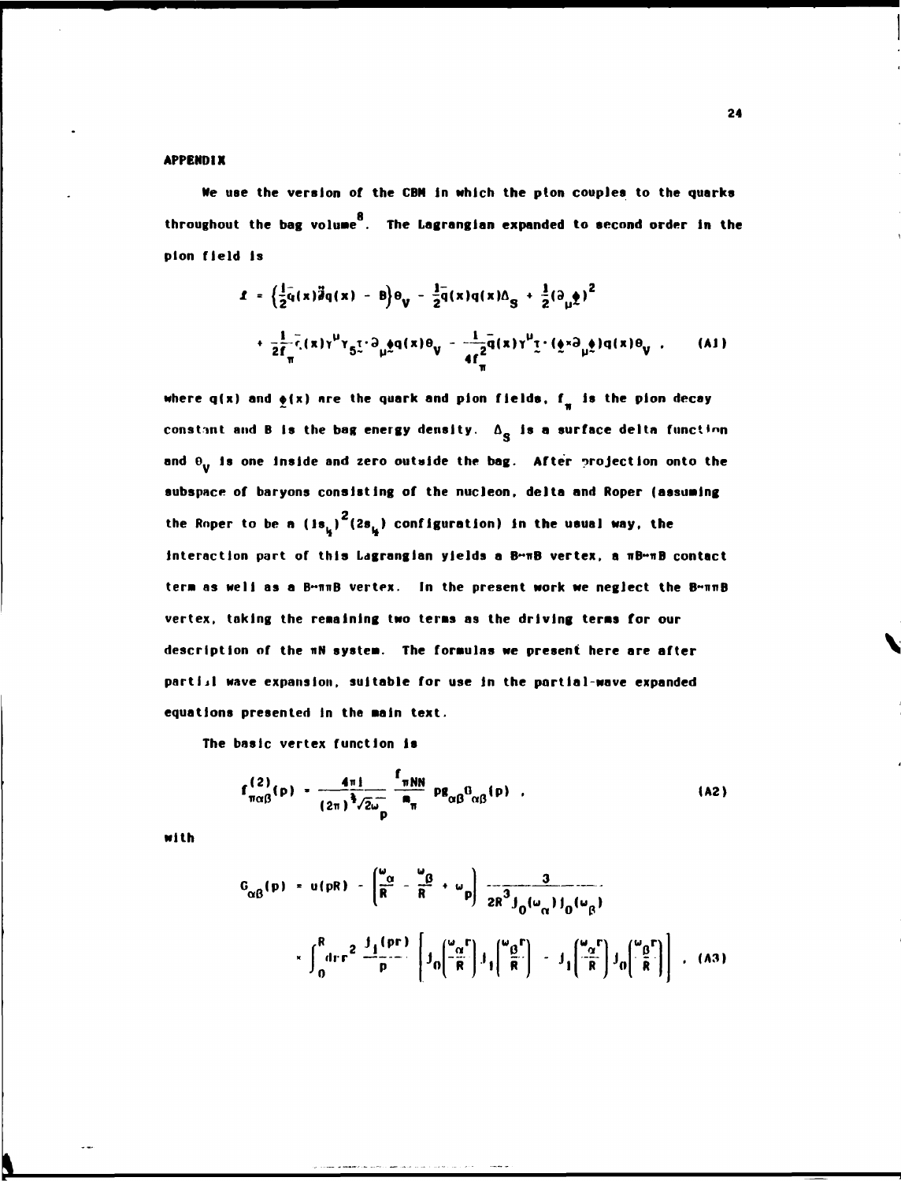## **APPENDIX**

**Ne use the version of the CBN In which the pton couples to the quarks throughout the bag voluae . The Lagrangian expanded to second order in the plon field Is** 

$$
\mathbf{1} = \left\{ \frac{1}{2} \bar{q}(x) \bar{d}q(x) - \bar{q} \right\} \theta_{V} - \frac{1}{2} \bar{q}(x) q(x) \Delta_{S} + \frac{1}{2} (\partial_{\mu} \hat{q})^{2} + \frac{1}{2} \bar{r}_{V} (x) \gamma^{\mu} \gamma_{5} \tau^{3} \partial_{\mu} \hat{q}(x) \theta_{V} - \frac{1}{4} \bar{r}_{H} \bar{q}(x) \gamma^{\mu} \tau^{3} \left( \hat{q} \times \partial_{\mu} \hat{q} \right) q(x) \theta_{V} \tag{A1}
$$

where  $q(x)$  and  $\phi(x)$  are the quark and pion fields,  $f_{\alpha}$  is the pion decay constant and B is the bag energy density.  $\Delta_{\bf S}$  is a surface delta function and  $\theta_{\bf u}$  is one inside and zero outside the bag. After projection onto the **subspace of baryons consisting of the nucleon, delta and Roper (assuming**  the Roper to be a (is<sub>u</sub>)<sup>2</sup>(2s<sub>u</sub>) configuration) in the usual way, the **Interaction part of this Ldgranglan yields a B~ITB vertex, a nB»nB contact tera as well as a B"imB vertex. In the present work we neglect the B~nnB vertex, taking the regaining two teras 89 the driving terns for our description of the nN systea. The foraulas we present here are after partiJI wave expansion, suitable for use in the partial-wave expanded equations presented in the aain text.** 

**The basic vertex function Is** 

$$
f_{\pi\alpha\beta}^{(2)}(p) = \frac{4\pi i}{(2\pi)^{\frac{3}{2}}\sqrt{2\omega_{D}}} \frac{f_{\pi NN}}{m_{\pi}} \text{pg}_{\alpha\beta}^{0}(\rho) , \qquad (A2)
$$

**with** 

$$
G_{\alpha\beta}(p) = u(pR) - \left(\frac{\omega_{\alpha}}{R} - \frac{\omega_{\beta}}{R} + \omega_{p}\right) \frac{3}{2R^{3}J_{0}(\omega_{\alpha})J_{0}(\omega_{\beta})}
$$
  

$$
\times \int_{0}^{R} dr r^{2} \frac{J_{1}(pr)}{p} \left[J_{0}\left(\frac{\omega_{\alpha}r}{R}\right)J_{1}\left(\frac{\omega_{\beta}r}{R}\right) - J_{1}\left(\frac{\omega_{\alpha}r}{R}\right)J_{0}\left(\frac{\omega_{\beta}r}{R}\right)\right],
$$
 (A3)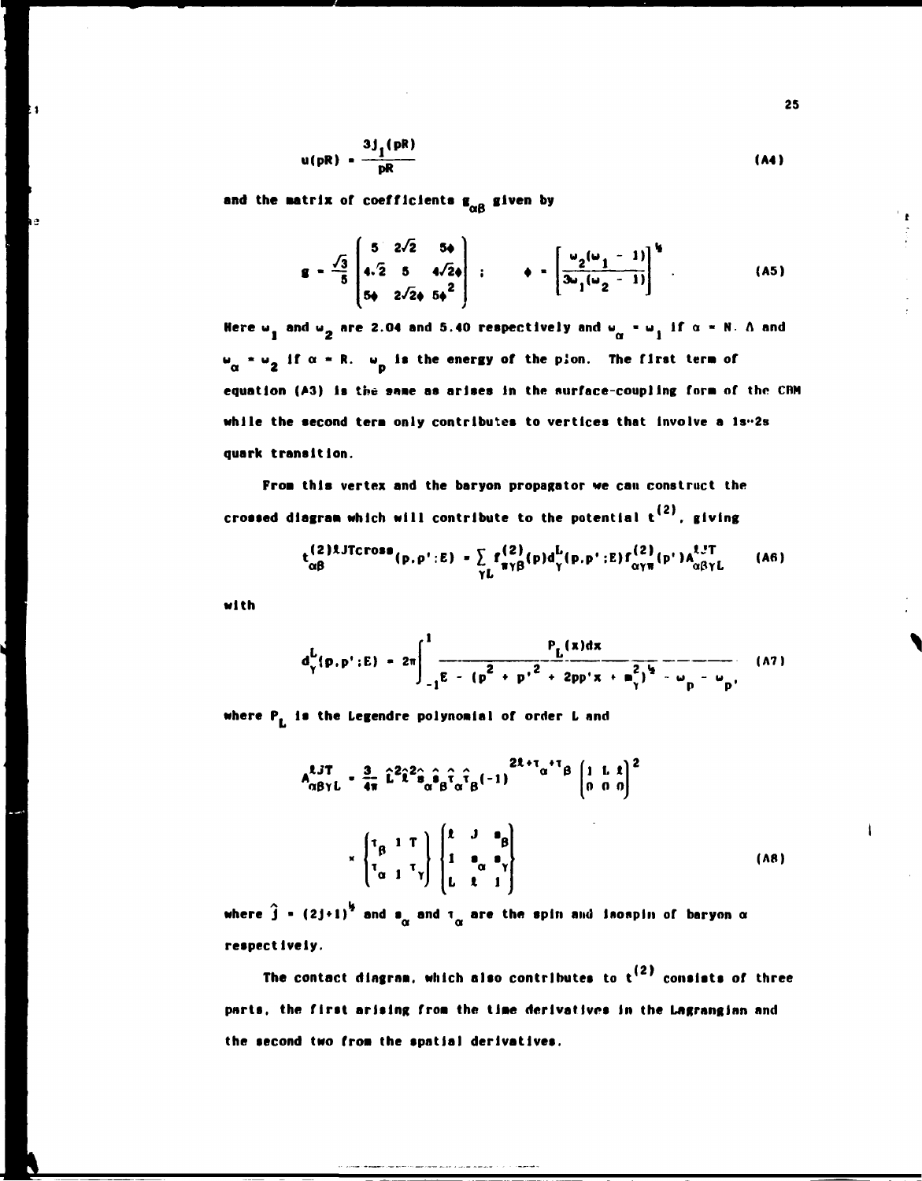$$
u(pR) = \frac{3J_1(pR)}{pR}
$$
 (A4)

and the matrix of coefficients  $g_{\alpha\beta}$  given by

$$
\mathbf{g} = \frac{\sqrt{3}}{5} \begin{pmatrix} 5 & 2\sqrt{2} & 5\phi \\ 4\cdot 2 & 5 & 4\sqrt{2}\phi \\ 5\phi & 2\sqrt{2}\phi & 5\phi \end{pmatrix} ; \qquad \phi = \begin{bmatrix} \frac{\omega_2(\omega_1 - 1)}{3\omega_1(\omega_2 - 1)} \end{bmatrix}^{\frac{1}{3}}.
$$
 (A5)

Here  $\omega_1$  and  $\omega_2$  are 2.04 and 5.40 respectively and  $\omega_{\alpha} = \omega_1$  if  $\alpha = N$ . A and  $w_{\alpha}$  =  $w_{\alpha}$  if  $\alpha$  = R.  $w_{\alpha}$  is the energy of the plon. The first term of equation (A3) is the same as arises in the surface-coupling form of the CRM while the second term only contributes to vertices that involve a  $1s<sup>0.2</sup>s$ quark transition.

From this vertex and the baryon propagator we can construct the crossed diagram which will contribute to the potential  $t^{(2)}$ , giving

$$
t_{\alpha\beta}^{(2)1JTCrosa}(p,p';E) = \sum_{\gamma L} f_{\pi\gamma\beta}^{(2)}(p)d_{\gamma}^{L}(p,p';E) f_{\alpha\gamma\pi}^{(2)}(p')A_{\alpha\beta\gamma L}^{1J T}
$$
 (A6)

with

$$
d_{\gamma}^{L}(p, p': E) = 2\pi \int_{-1}^{1} \frac{P_{L}(x)dx}{E - (p^{2} + p'^{2} + 2pp'x + m_{\gamma}^{2})^{2} - \omega_{p} - \omega_{p'}} (M)
$$

where P<sub>L</sub> is the Legendre polynomial of order L and

$$
A_{\alpha\beta\gamma L}^{\ell J T} = \frac{3}{4\pi} \hat{L}^2 \hat{i}^2 \hat{s}_{\alpha} \hat{s}_{\beta} \hat{\tau}_{\alpha} \hat{\tau}_{\beta} (-1)^{2\ell + \tau_{\alpha} + \tau_{\beta}} \begin{bmatrix} 1 & L & \bar{x} \\ 0 & 0 & 0 \end{bmatrix}^2
$$

$$
\times \begin{bmatrix} \tau_{\beta} & 1 & T \\ \tau_{\alpha} & 1 & \tau_{\gamma} \end{bmatrix} \begin{bmatrix} \bar{x} & J & \bar{s}_{\beta} \\ 1 & \bar{s}_{\alpha} & \bar{s}_{\gamma} \\ L & \bar{x} & 1 \end{bmatrix}
$$
(AB)

where  $\hat{j}$  = (2j+1)<sup>1/2</sup> and  $\sigma_{\alpha}$  and  $\tau_{\alpha}$  are the spin and isospin of baryon  $\alpha$ respectively.

The contact diagram, which also contributes to  $t^{(2)}$  consists of three parts, the first arising from the time derivatives in the Lagrangian and the second two from the spatial derivatives.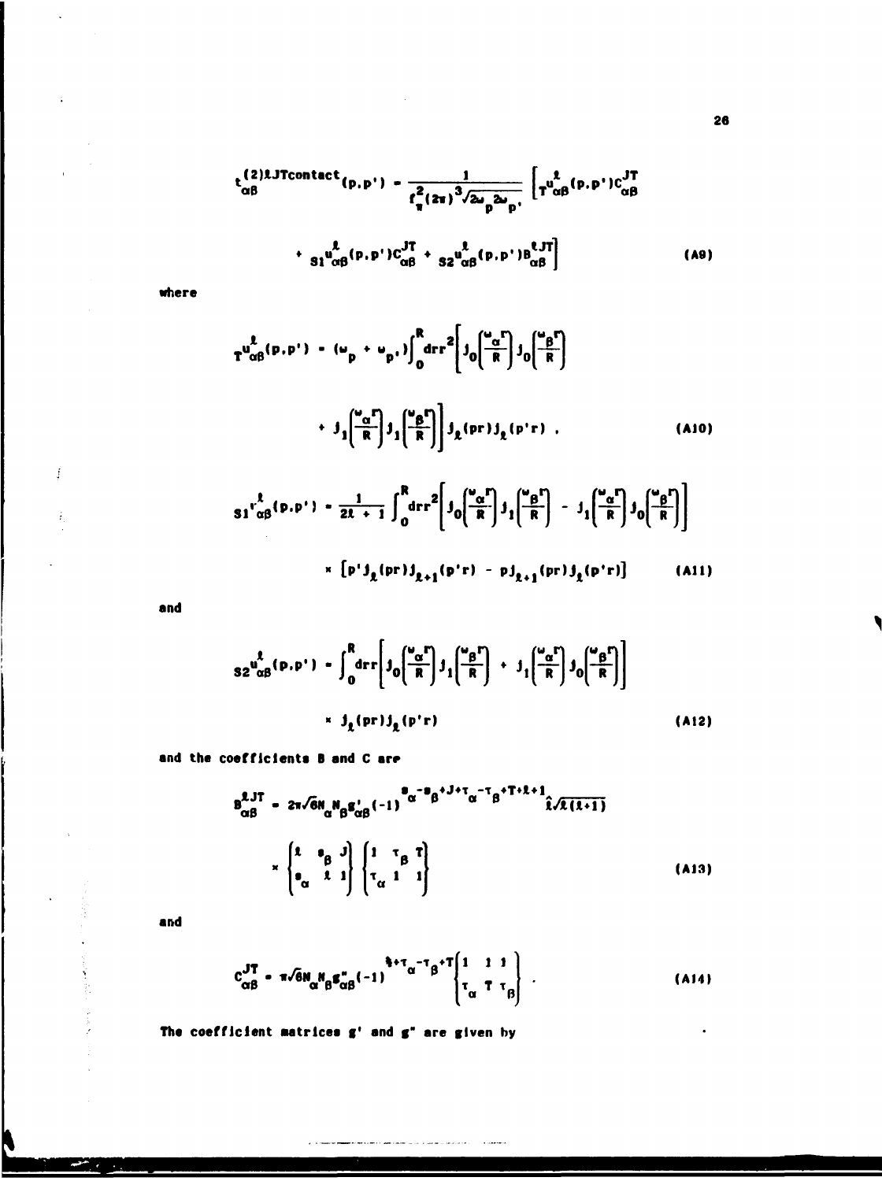$$
t_{\alpha\beta}^{(2)l.JTcontact}(p,p') - \frac{1}{r_q^2 (z\pi)^3 / 2\omega_p 2\omega_p} \left[ T_{\alpha\beta}^{l}(p,p') C_{\alpha\beta}^{JT} + \frac{1}{s_1 \omega_{\alpha\beta}^{l}(p,p') C_{\alpha\beta}^{JT} + \frac{1}{s_2 \omega_{\alpha\beta}^{l}(p,p') B_{\alpha\beta}^{lJT}} \right]
$$
(A9)

where

 $\ddot{\phantom{a}}$ 

 $\ddot{\phantom{a}}$ 

Í

ž,

N

$$
T^{u_{\alpha\beta}^{\ell}(p,p')} - (u_p + u_{p'}) \int_0^R dr r^2 \left[ j_0 \left( \frac{u_{\beta}^{\ell}}{R} \right) j_0 \left( \frac{u_{\beta}^{\ell}}{R} \right) \right]
$$
  
+ 
$$
j_1 \left( \frac{u_{\alpha}^{\ell}}{R} \right) j_1 \left( \frac{u_{\beta}^{\ell}}{R} \right) j_2 \left( pr \right) j_2 \left( p'r \right) , \qquad (A10)
$$
  

$$
s_1 r_{\alpha\beta}^{\ell}(p,p') - \frac{1}{2l+1} \int_0^R dr r^2 \left[ j_0 \left( \frac{u_{\alpha}^{\ell}}{R} \right) j_1 \left( \frac{u_{\beta}^{\ell}}{R} \right) - j_1 \left( \frac{u_{\alpha}^{\ell}}{R} \right) j_0 \left( \frac{u_{\beta}^{\ell}}{R} \right) \right]
$$
  
+ 
$$
\left[ p' j_2 \left( pr \right) j_{2+1} \left( p'r \right) - p j_{2+1} \left( pr \right) j_2 \left( p'r \right) \right] \qquad (A11)
$$

and

$$
s2^{u_{\alpha\beta}^{\ell}(\mathbf{p},\mathbf{p}^{\prime})-\int_{0}^{R}d\mathbf{r}\left[j_{0}\left(\frac{u_{\alpha}r}{R}\right)j_{1}\left(\frac{u_{\beta}r}{R}\right)+j_{1}\left(\frac{u_{\alpha}r}{R}\right)j_{0}\left(\frac{u_{\beta}r}{R}\right)\right]
$$
\n
$$
\times j_{\ell}(\mathbf{p}r)j_{\ell}(\mathbf{p}^{\prime}r)
$$
\n(A12)

and the coefficients B and C are

$$
B_{\alpha\beta}^{2J\mathsf{T}} = 2\pi \sqrt{6} N_{\alpha} N_{\beta} g_{\alpha\beta}^{\dagger} (-1)^{\alpha-\beta} \beta^{\dagger J+\tau} \alpha^{-\tau} \beta^{\dagger \mathsf{T}+\hat{\lambda}+\hat{1}} \hat{\lambda} \sqrt{\hat{\lambda}(\hat{\lambda}+\hat{1})}
$$
  

$$
\times \begin{pmatrix} \hat{\lambda} & \hat{\beta} & \hat{\beta} \\ \hat{\alpha} & \hat{\lambda} & 1 \end{pmatrix} \begin{pmatrix} 1 & \tau_{\beta} & \tilde{\tau} \\ \tau_{\alpha} & 1 & 1 \end{pmatrix}
$$
(A13)

and

 $\begin{array}{c} \gamma \\ \gamma \\ \gamma \end{array}$ 

 $\bar{\chi}$ 

$$
c_{\alpha\beta}^{JT} = \pi \sqrt{6} N_{\alpha} N_{\beta} g_{\alpha\beta}^* (-1)^{\frac{5}{3} + \tau} \alpha^{-T} \beta^{+T} \begin{pmatrix} 1 & 1 & 1 \\ \tau_{\alpha} & T & \tau_{\beta} \end{pmatrix} .
$$
 (A14)

The coefficient matrices g' and g" are given by

 $\epsilon$  is smooth

ومادينا والمربوب والمربان بمرود ويواديا والمتحولات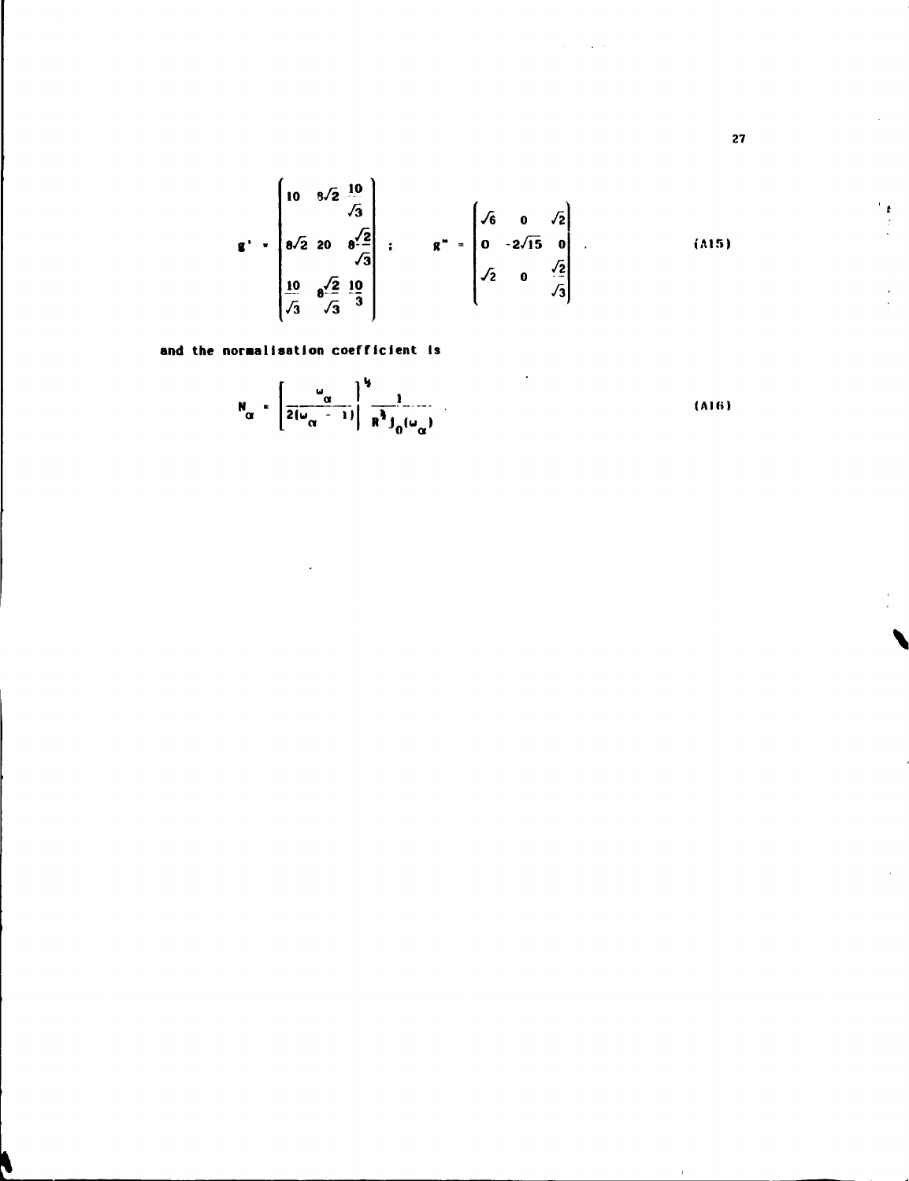$$
\mathbf{g'} = \begin{bmatrix} 10 & 8\sqrt{2} & \frac{10}{\sqrt{3}} \\ 8\sqrt{2} & 20 & 8\frac{\sqrt{2}}{\sqrt{3}} \\ \frac{10}{\sqrt{3}} & 8\frac{\sqrt{2}}{\sqrt{3}} & \frac{10}{3} \end{bmatrix} : \qquad \mathbf{g''} = \begin{bmatrix} \sqrt{6} & 0 & \sqrt{2} \\ 0 & -2\sqrt{15} & 0 \\ \sqrt{2} & 0 & \frac{\sqrt{2}}{\sqrt{3}} \end{bmatrix} . \tag{A15}
$$

 $\omega$  .

and the normalisation coefficient is

$$
N_{\alpha} = \left[\frac{\omega_{\alpha}}{2(\omega_{\alpha} - 1)}\right]^{\frac{1}{2}} \frac{1}{R^{\frac{3}{2}} J_0(\omega_{\alpha})}
$$
(A16)

 $27$ 

 $\begin{array}{c} \mathbf{r} \\ \mathbf{r} \\ \vdots \\ \mathbf{r} \end{array}$ 

 $\ddot{\phantom{0}}$  $\frac{1}{2}$ 

 $\hat{\mathbf{r}}$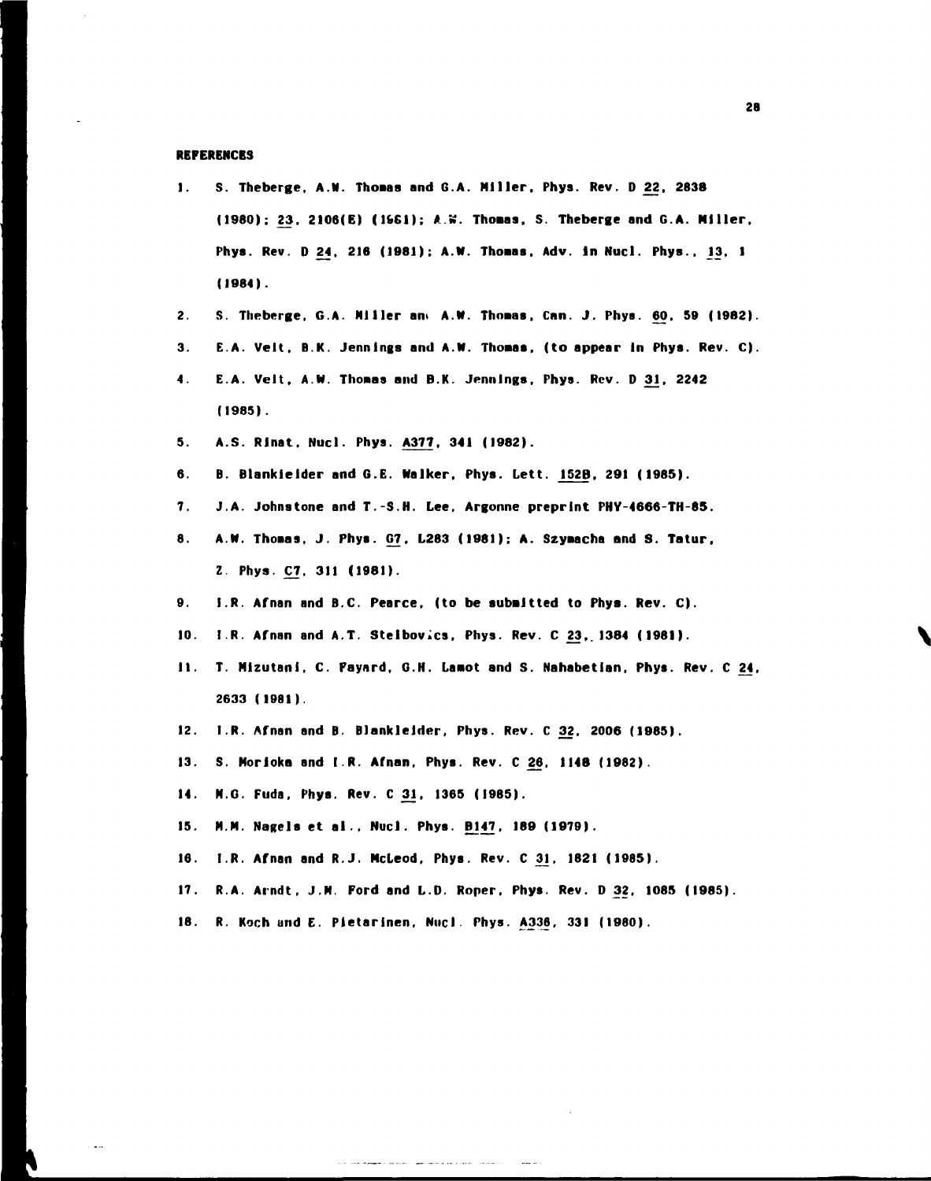## **REFERENCES**

- **1. S. Theberge. A.N. Thoaas and G.A. Miller. Phys. Rev. D 22. 2838 (1980); 23. 2106(E) (1661); AW. Thoaas, S. Theberge and G.A. Miller.**  Phys. Rev. D 24, 216 (1981); A.W. Thomas, Adv. in Nucl. Phys., 13, 1 **(1984).**
- **2. S. Theberge, G.A. Miller ant A.N. Thnaaa. Can. J. Phys. 60. 59 (1982).**
- **3. E.A. Velt. D.K. Jennings and A.N. Thoaas, (to appear In Phys. Rev. C).**
- **4. E.A. Velt, A.N. Thoaas and B.K. Jennings. Phys. Rev. D 31. 2242 (1985).**
- **5. A.S. RJnat. Nucl. Phys. A377, 341 (1982).**
- **6. B. Blankleider and G.E. Walker. Phys. Lett. 152B. 291 (1985).**
- **7. J.A. Johnstone and T.-S.H. Lee, Argonne preprint PHY-4666-TH-85.**
- **8. A.N. Thoaas, J. Phys. G7, L283 (1981); A. Szyaacha and S. Tatur, Z. Phys. C7. 311 (1981).**
- **9. I.R. Afnan and B.C. Pearce, (to be subaltted to Phys. Rev. C).**
- 10. I.R. Afnan and A.T. Stelbovics, Phys. Rev. C 23, 1384 (1981).
- **11. T. Mlzutanl, C. Fayard, G.H. Laaot and S. Nahabetian, Phys. Rev. C 24, 2633 (1981).**
- **12. I.R. Afnan and B. Blankleider, Phys. Rev. C 32. 2006 (1985).**
- **13. S. Morloka and I.R. Afnan, Phys. Rev. C 26, 1148 (1982).**
- **14. M.G. Fuda, Phys. Rev. C3J, 1365 (1985).**
- **15. M.M. Nagels et a)., Nucl. Phys. B147, 189 (1979).**
- **16. I.R. Afnan and R.J. Mcleod, Phys. Rev. C 3J, 1821 (1985).**
- **17. R.A. Arndt, J.M. Ford and L.D. Roper, Phys. Rev. 0 32, 1085 (1985).**
- **18. R. Koch und E. Pietarlnen, Nucl Phys. A336, 331 (I960).**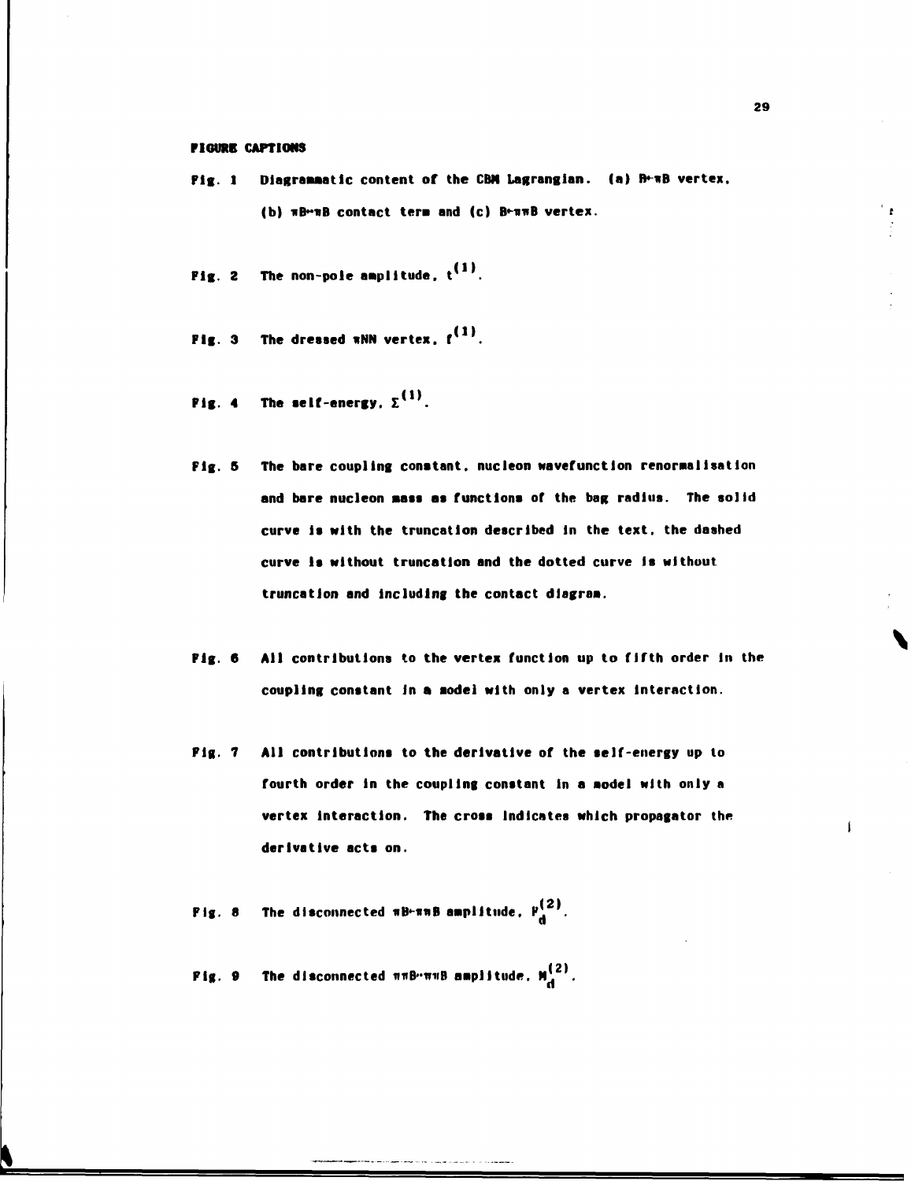## **FIGURE CAPTIONS**

- Fig. 1 Diagrammatic content of the CBM Lagrangian. (a) B+mB vertex, **(b) nB-nB contact tern and (c) B«-nnB vertex.**
- **Fig. 2** The non-pole amplitude,  $t^{(1)}$ .
- **Fig. 3 The dressed »NN vertex. f (1> .**
- Fig. 4 The self-energy.  $\Sigma^{(1)}$ .
- **Fig. 5 The bare coupling constant, nucleon Navefunctlon renomalisatlon**  and bare nucleon mass as functions of the bag radius. The solid **curve Is with the truncation described in the text, the dashed curve Is without truncation and the dotted curve is without truncation and Including the contact dlagran.**
- **Fig. 6 All contributions to the vertex function up to fifth order In the coupling constant in a aodel with only a vertex Interaction.**
- **Fig. 7 All contributions to the derivative of the self-energy up to fourth order In the coupling constant In a aodel with only a vertex interaction. The cross Indicates which propagator the derivative acts on.**
- **Fig. 8** The disconnected  $\pi B \cdot \pi \pi B$  amplitude,  $P_{\bf d}^{(2)}$ .
- **Fig. 9** The disconnected  $\pi \pi B \cdot \pi \pi B$  amplitude.  $M_d^{(2)}$ .

 $\mathbf{r}$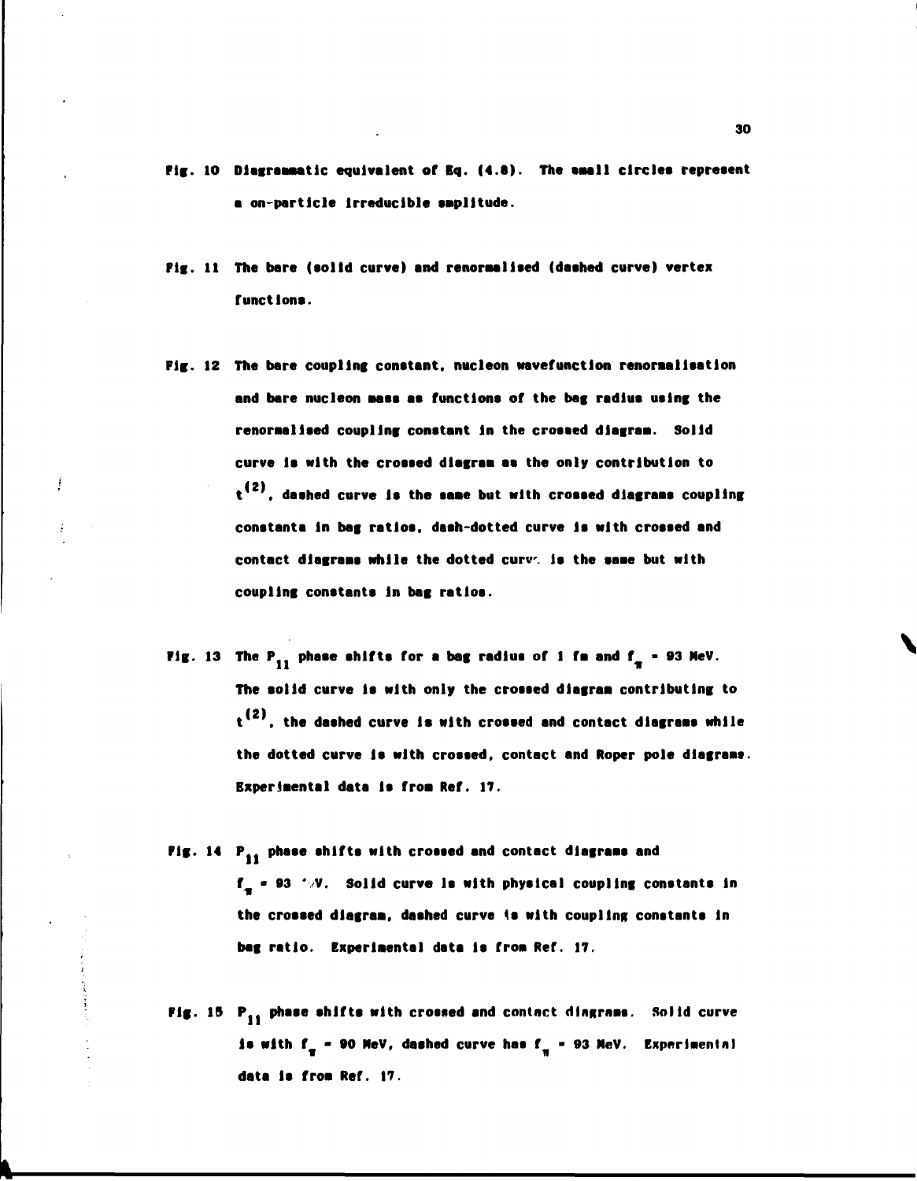- **Fig. 10 Dlagraaaatlc equivalent or Bq. (4.8). The aaall clrclea repreaent a on-partlcle Irreducible amplitude.**
- **Fig. 11 The bare (aolld curve) and renoraallsed (daahed curve) vertex functlona.**
- **Fig. 12 The bare coupling conatant. nucleon mvefunctlon renornallaatlon and bare nucleon aaee aa functlona of the bag radlua ualng the renoraallsed coupling conatant In the crossed dlagraa. Solid curve la with the croaaed dlagraa aa the only contribution to**   $t^{(2)}$ , dashed curve is the same but with crossed diagrams coupling **conatanta In bag ratios, daah-dotted curve la with croaaed and**  contact diagrams while the dotted curv. is the same but with **coupling conatanta in bag ratloa.**
- **Fig. 13** The  $P_{11}$  phase shifts for a bag radius of 1 fm and  $f_x = 93$  MeV. **The aolld curve la with only the crossed dlagraa contributing to t<sup>(2)</sup>, the dashed curve is with crossed and contact diagrams while the dotted curve la with croaaed. contact and Roper pole dlagraas. Experimental data is from Ref. 17.**
- Fig. 14 P<sub>11</sub> phase shifts with crossed and contact diagrams and **f - 93 ' V. Solid curve la with physical coupling conatanta In**  the crossed diagram. dashed curve is with coupling constants in **bag ratio. Experlaental data la froa Ref. 17.**
- **Fig. 15 P <sup>1</sup> ( phase shifts with crossed and contact dlngraas. Solid curve is with**  $f_{\pi}$  **- 90 MeV, dashed curve has**  $f_{\pi}$  **- 93 MeV.** Experimental • new production of the contract of the contract of the contract of the contract of the contract of the contract of the contract of the contract of the contract of the contract of the contract of the contract of the contra data is from Ref. 17.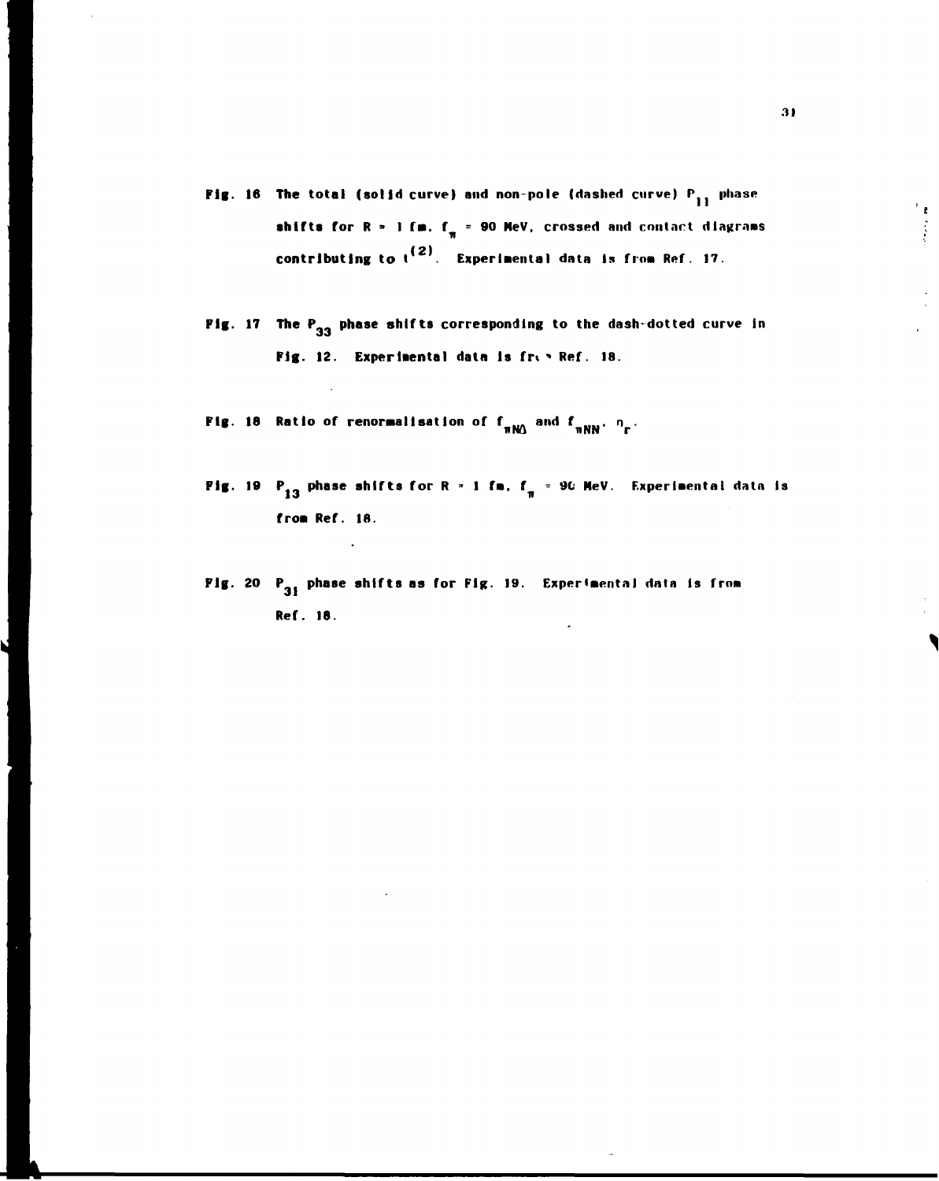- **Fig. 16 The total (solid curve) and non-pole (dashed curve) P<sub>11</sub> phase shifts for R = 1 fm. f<sub>n</sub> = 90 MeV. crossed and contact diagrams** contributing to t<sup>te)</sup>. Experimental data is from Ref. 17.
- Fig. 17 The P<sub>33</sub> phase shifts corresponding to the dash-dotted curve in **Fig. 12. Experimental data is fri ' Ref. 18.**
- **Fig. 18 Ratio of renormalisation of f<sub>ram</sub> and f<sub>rama</sub>, n<sub>n</sub>.**

**rroa Ref. 18.** 

**Fig. 19** P<sub>13</sub> phase shifts for R = 1 fm, f = 90 MeV. Experimental data is from Ref. 18.

**i** T<sub>1</sub>

Fig. 20 P<sub>31</sub> phase shifts as for Fig. 19. Experimental data is from **Fig. 20 PM**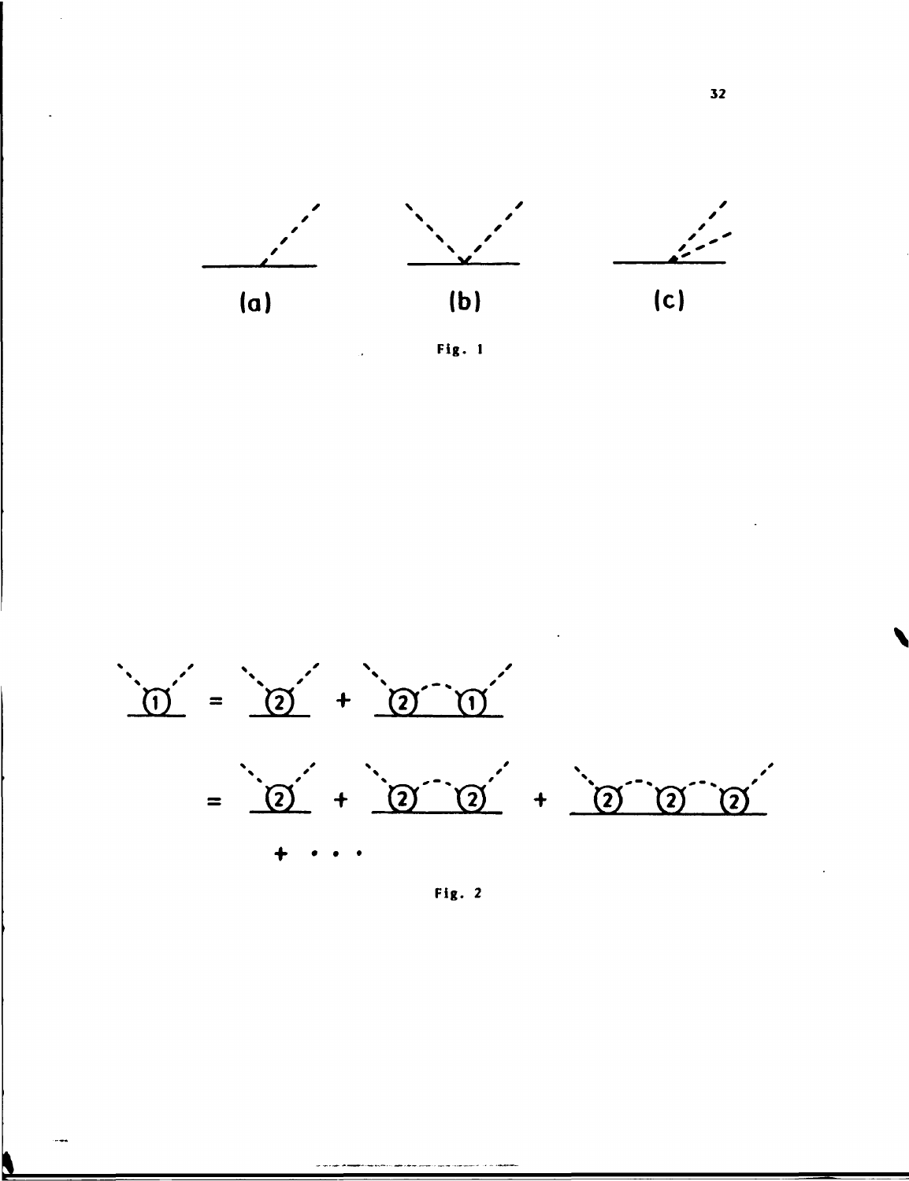





Fig. 2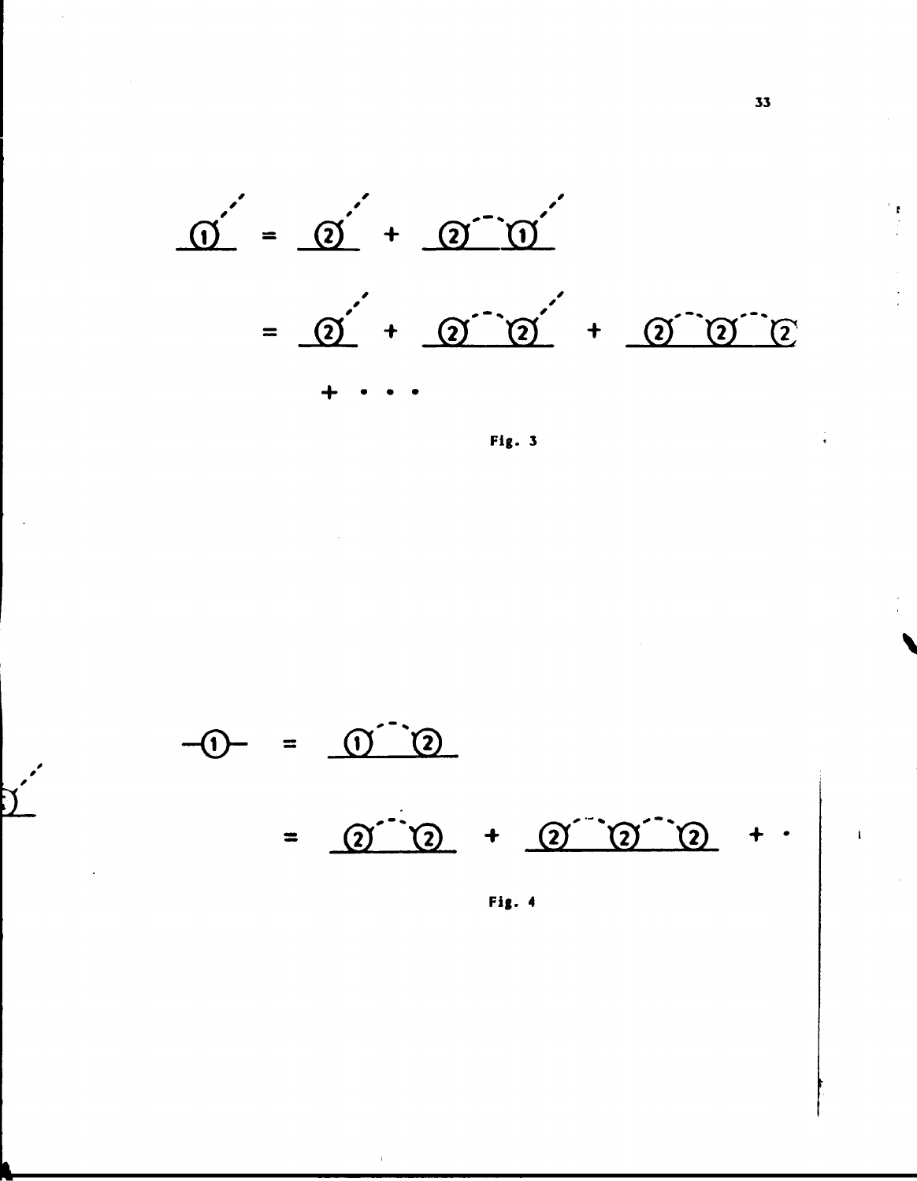

Fig. 3

 $\begin{pmatrix} 0 & 0 \end{pmatrix}$ **(「**  $Q^{\prime}$  (2) +  $Q^{\prime}$  (2) (2)  $\blacksquare$ 

Fig. 4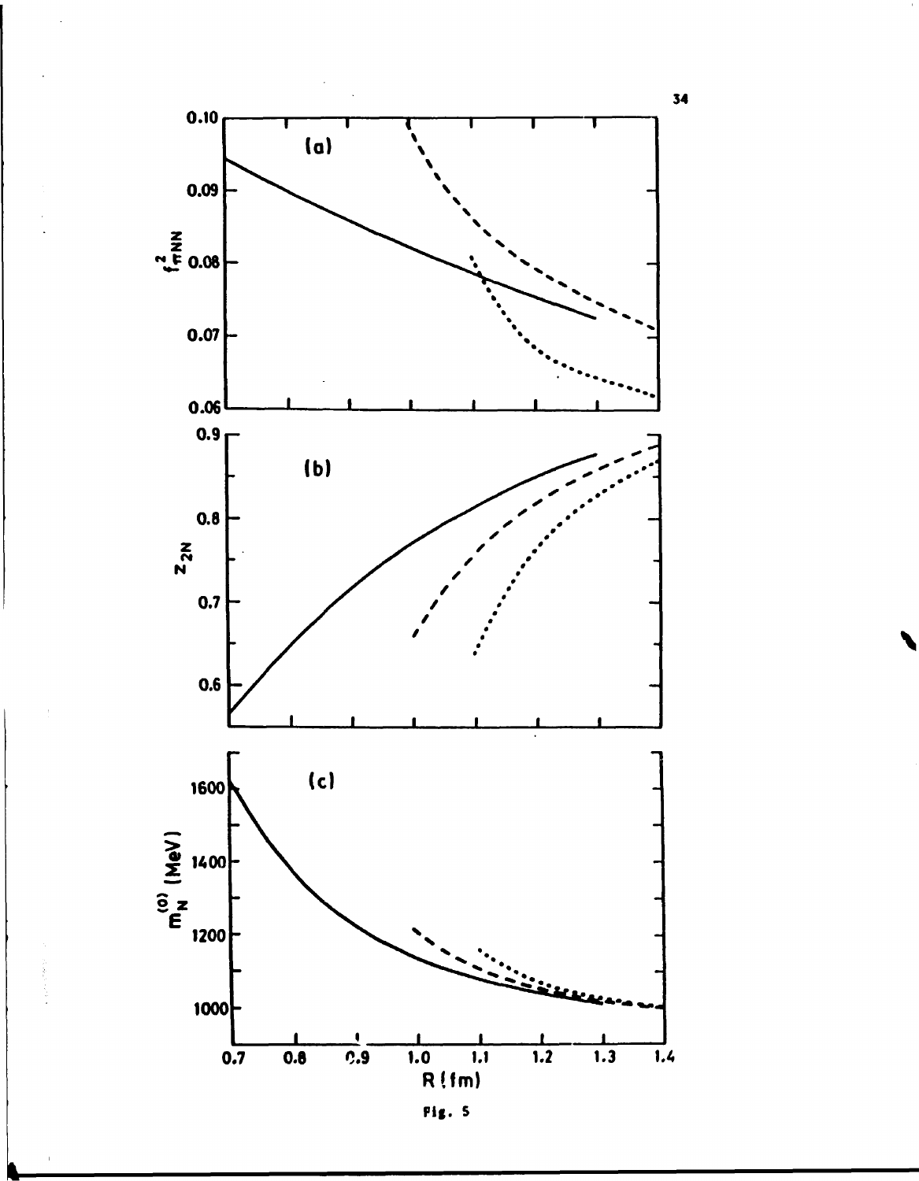

Fig. 5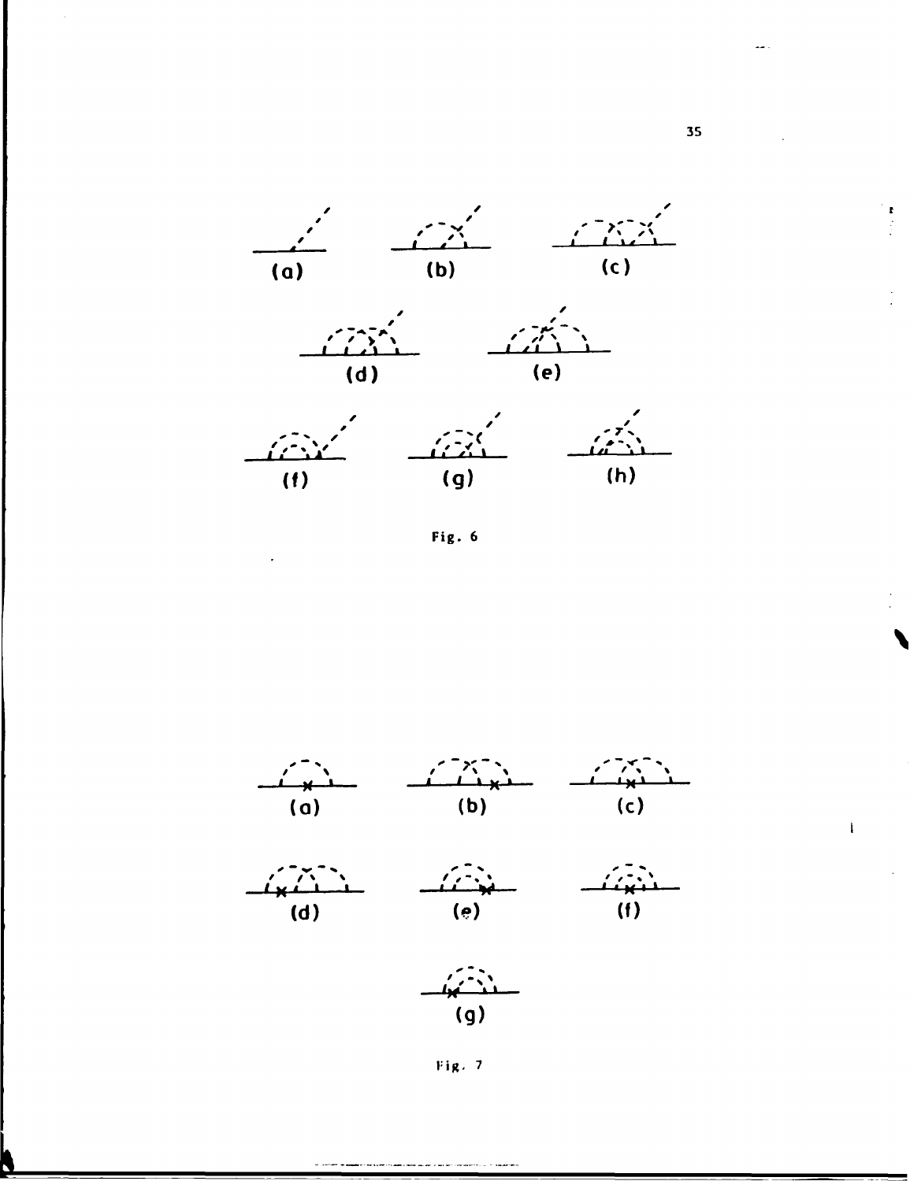

Fig. 6





 $(q)$ 

Fig. 7

35

 $\begin{pmatrix} 1 & 1 \\ 1 & 1 \\ 1 & 1 \\ 1 & 1 \end{pmatrix}$ 

 $\mathbf{I}$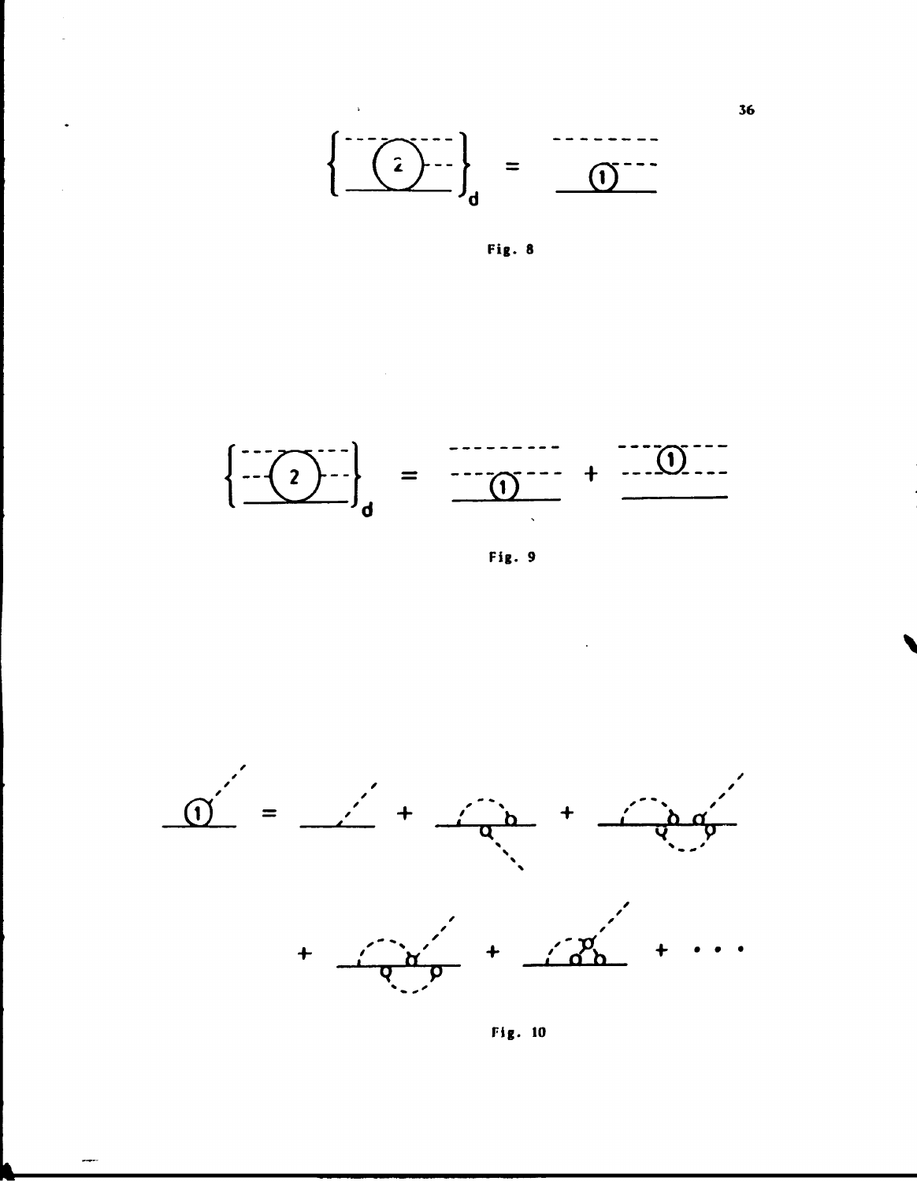





Fig. 9



Fig. 10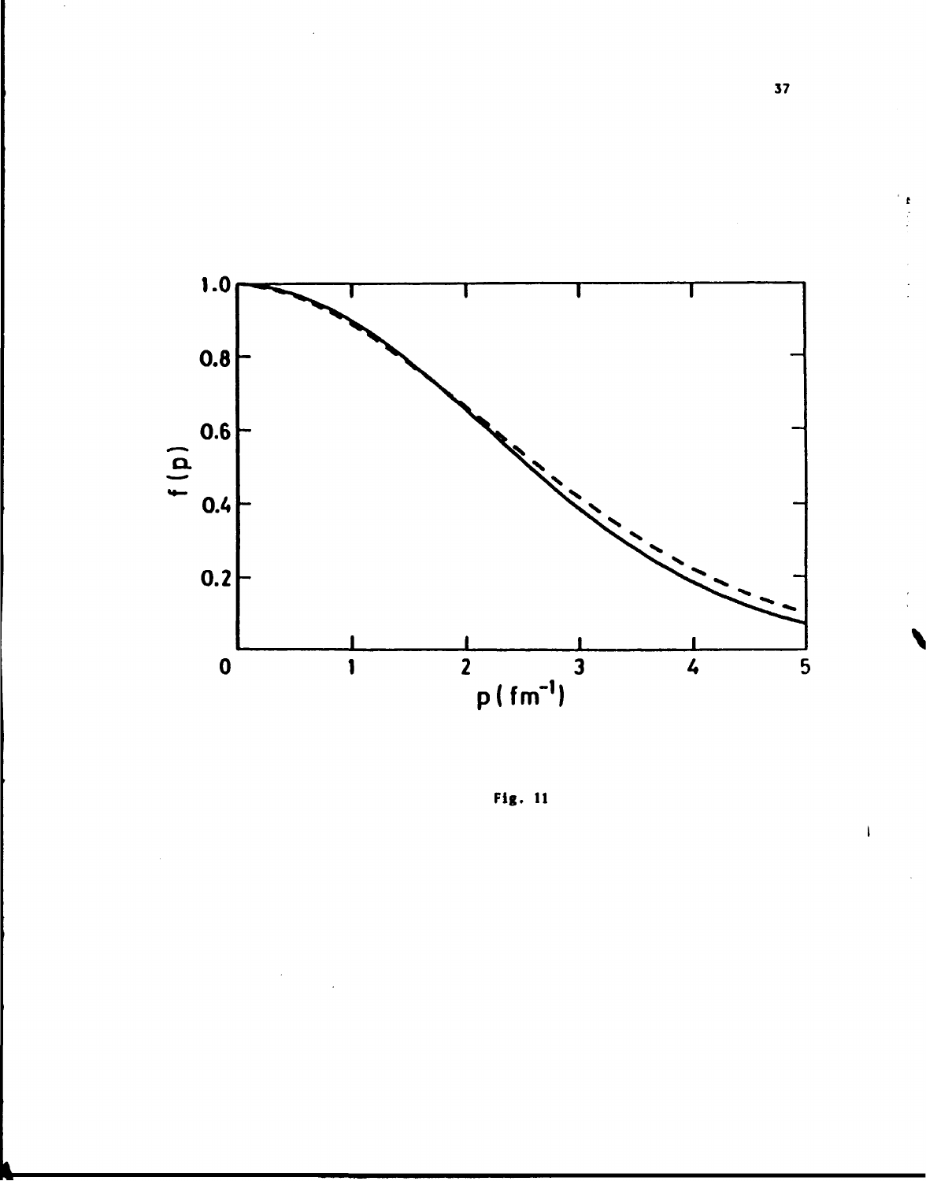

**Fig. 11** 

 $\overline{\mathbf{37}}$ 

 $\overline{\mathbf{I}}$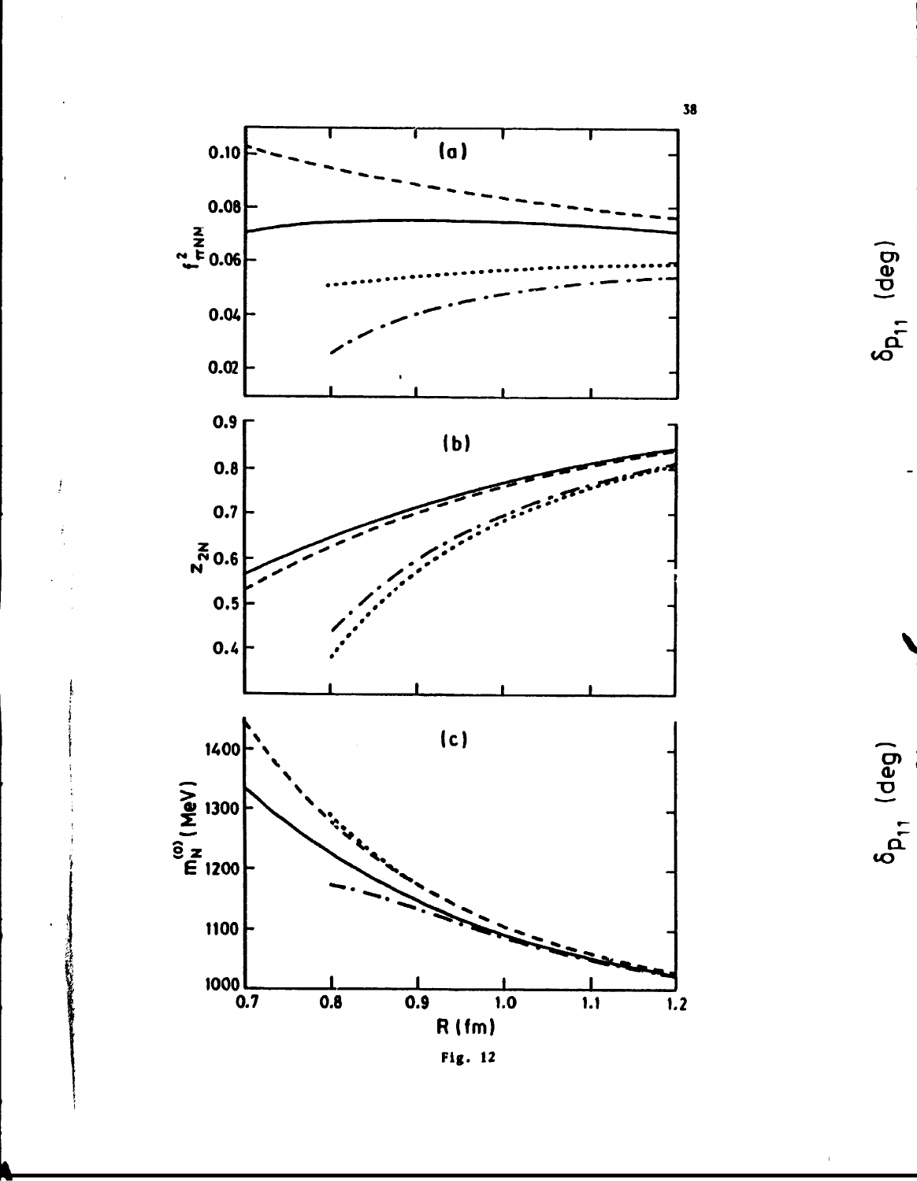

 $\int\limits_{-\infty}^{\infty}$ 

 $\delta_{\mathsf{p}_{11}}$  (deg)

 $\delta_{\mathsf{p}_{11}}$  (deg)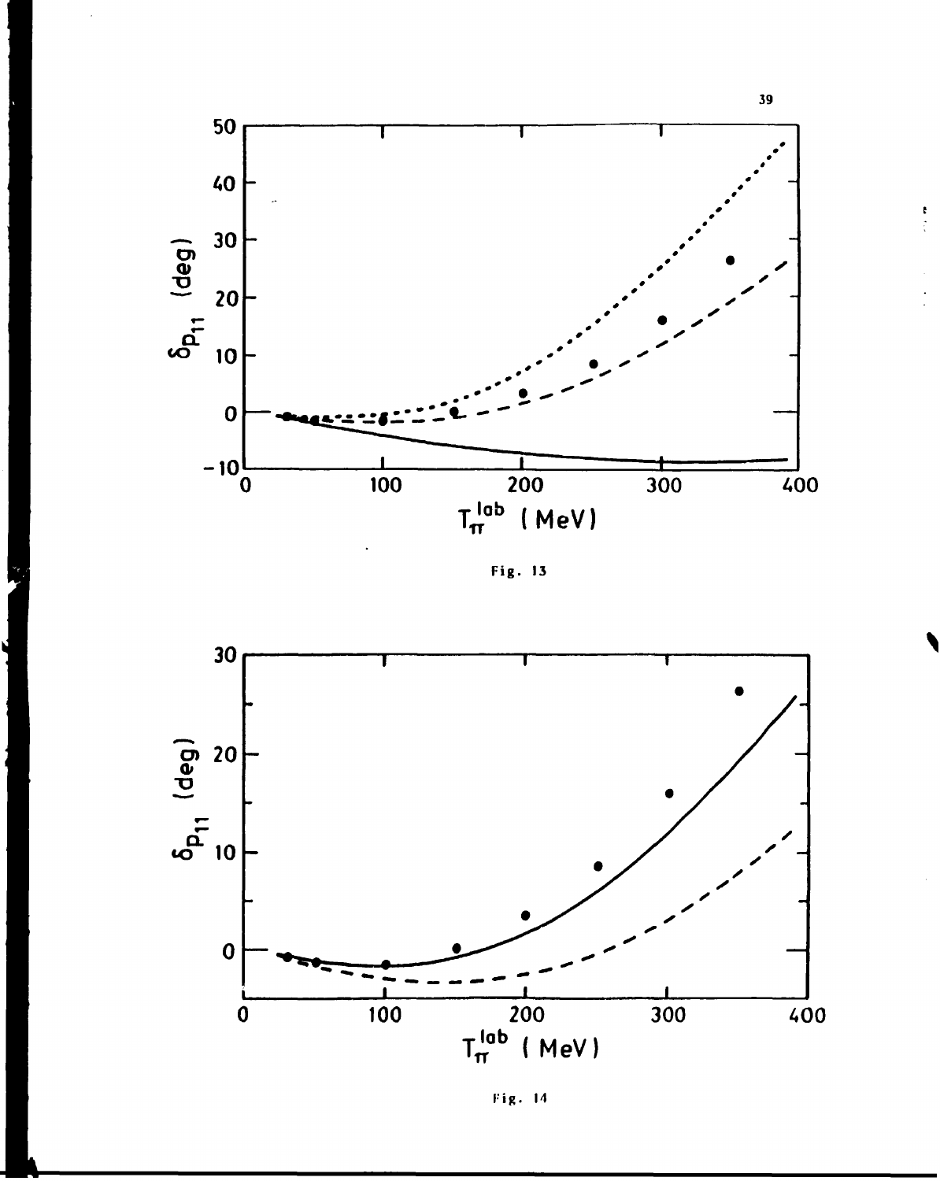

 $\begin{array}{c} \bullet \\ \bullet \\ \bullet \\ \bullet \end{array}$ 

Fig. 13



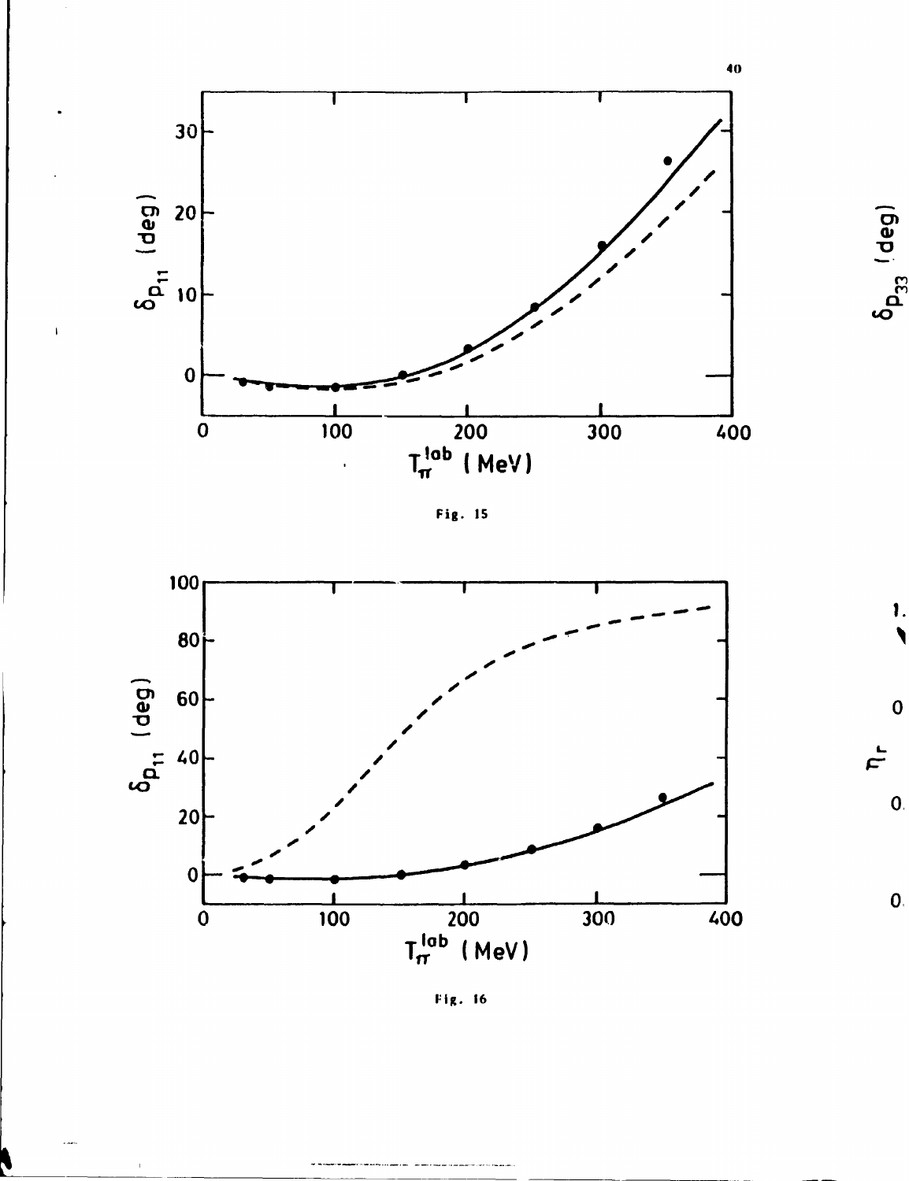

 $\overline{1}$ 







 $40$ 

 $\delta_{\mathsf{p}_{33}^{-1}}$ deg)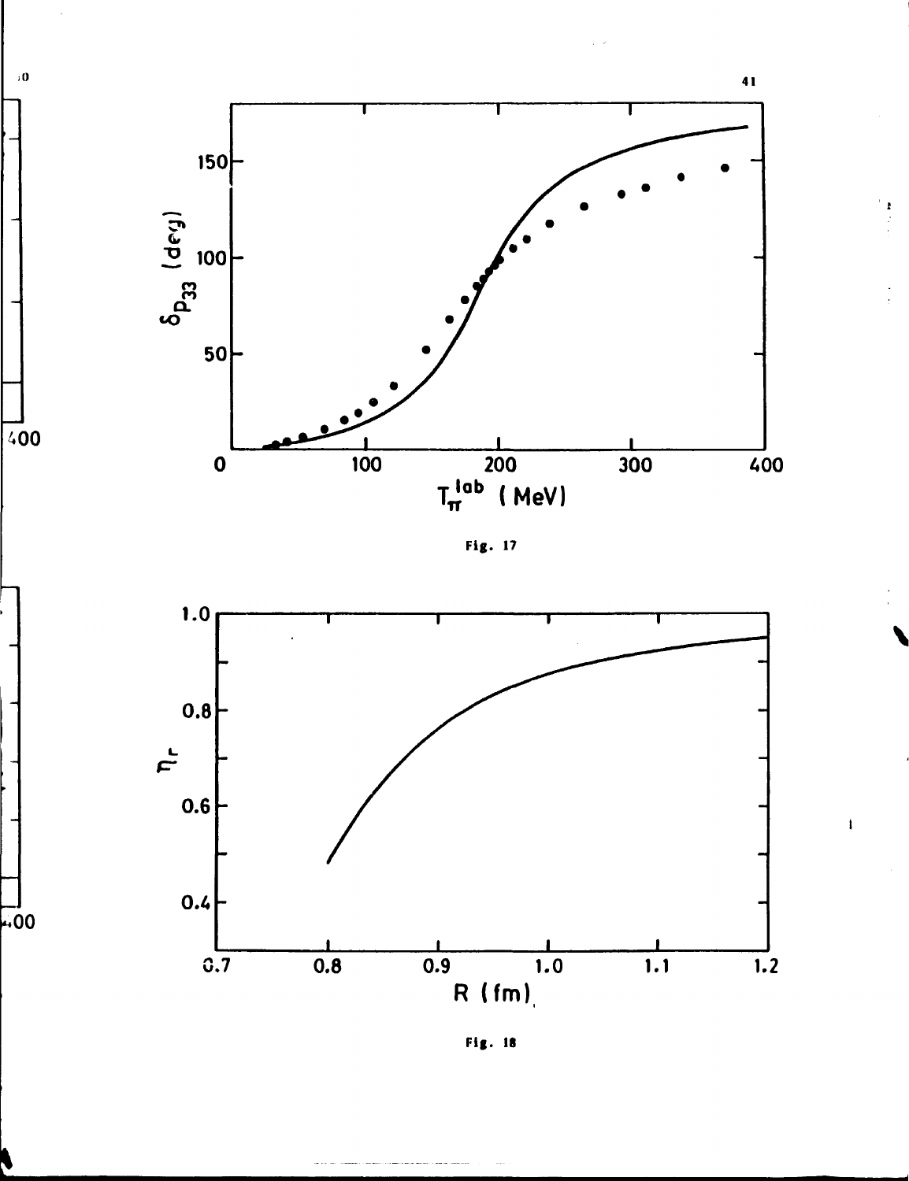

 $\mathfrak{i} \, \mathbf{0}$ 

 $400$ 

 $-00$ 

Fig. 17



Fig. 18